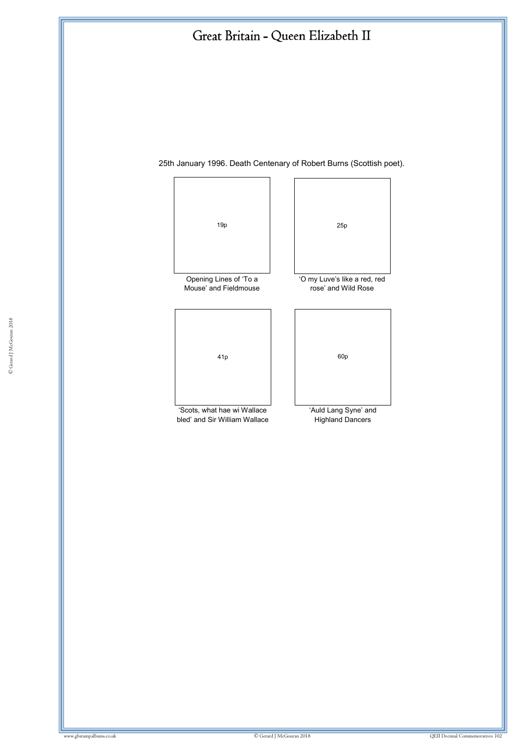25th January 1996. Death Centenary of Robert Burns (Scottish poet).

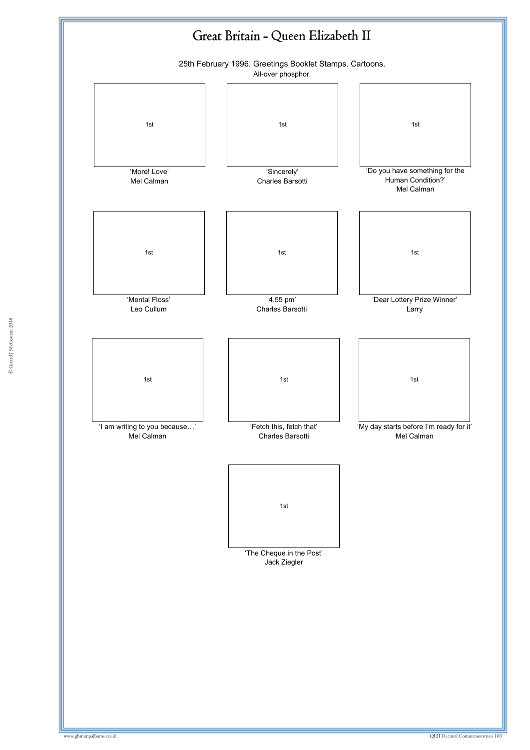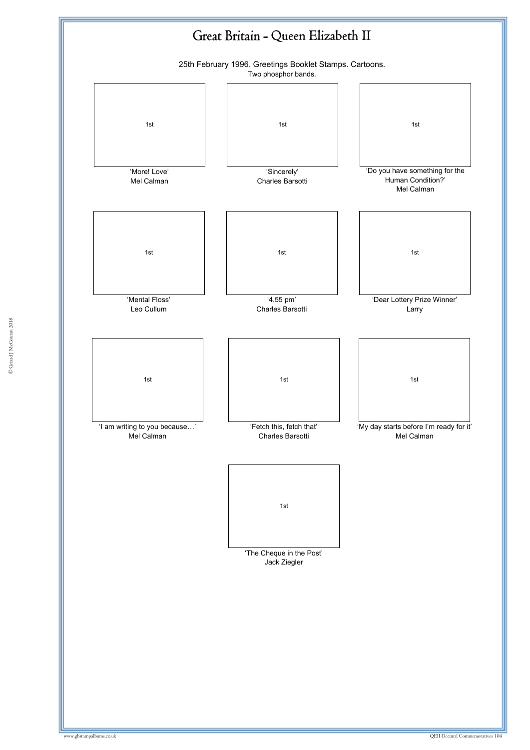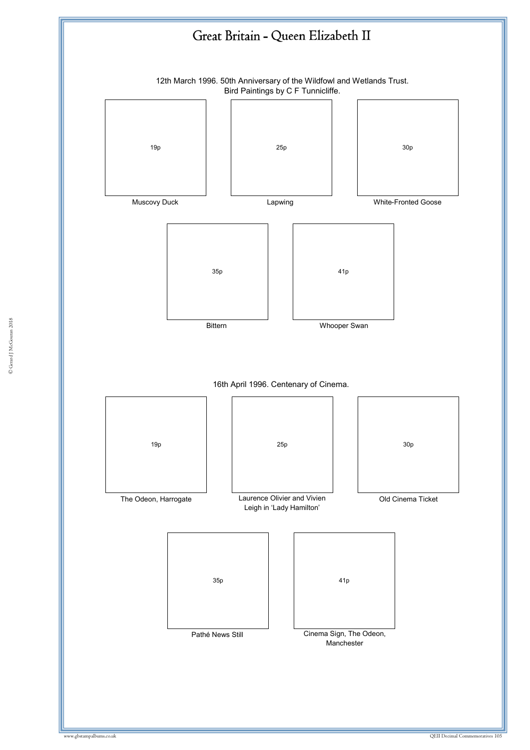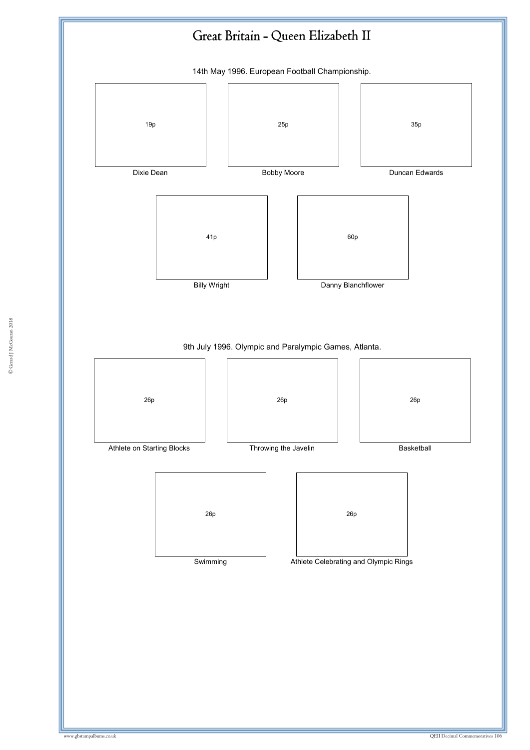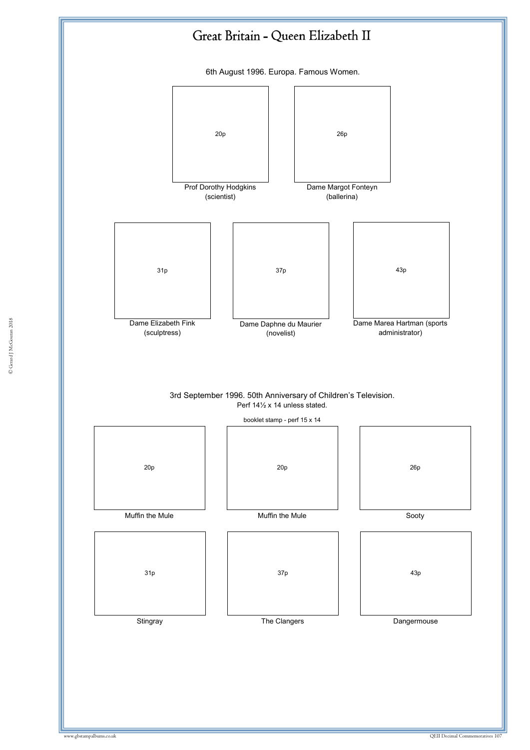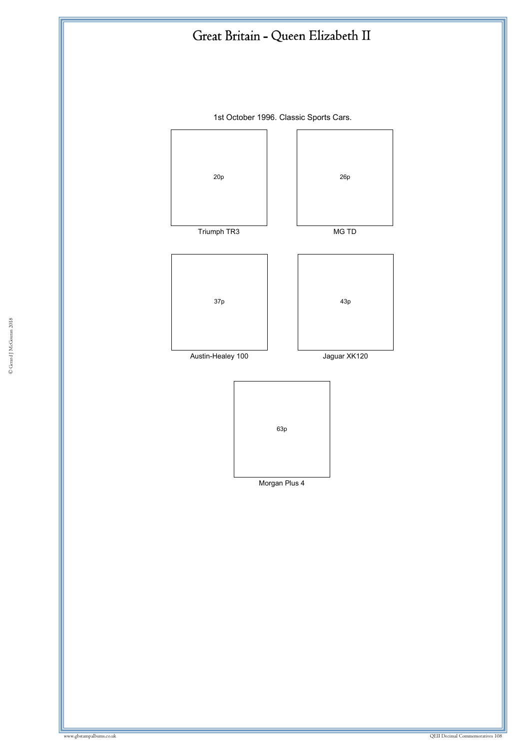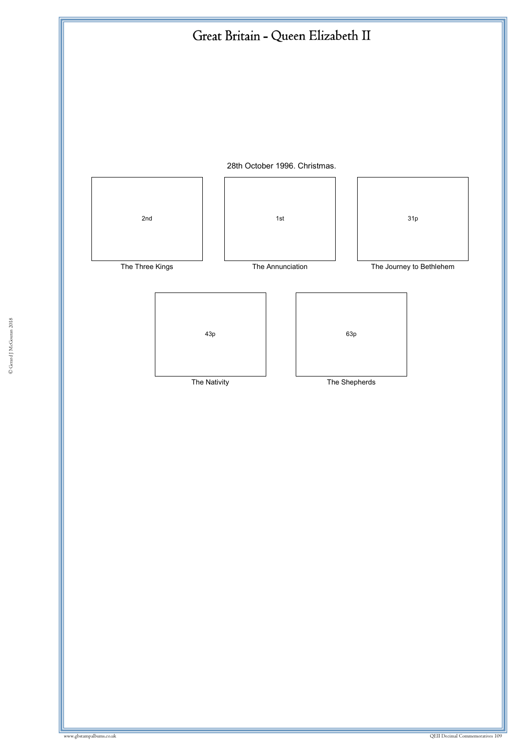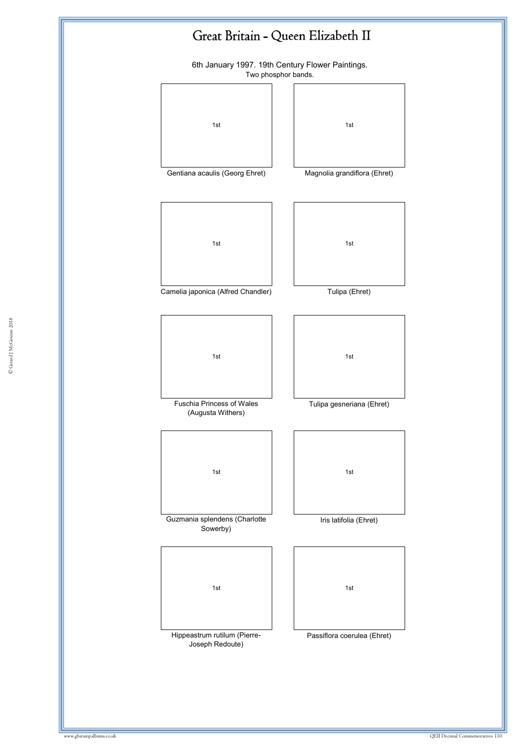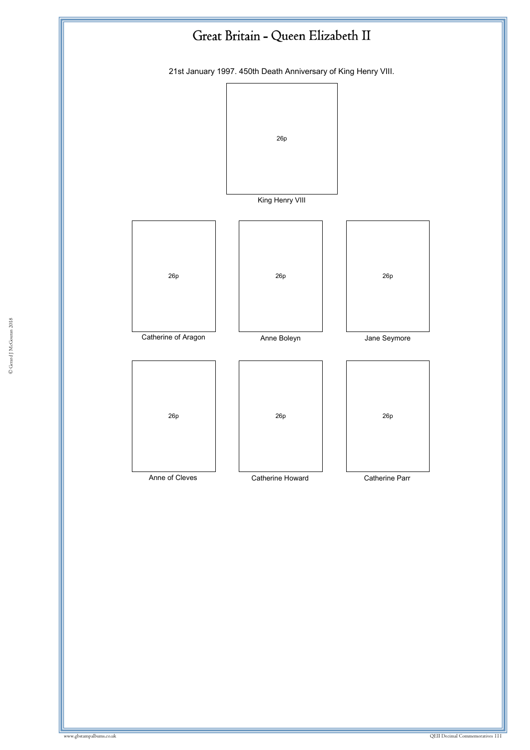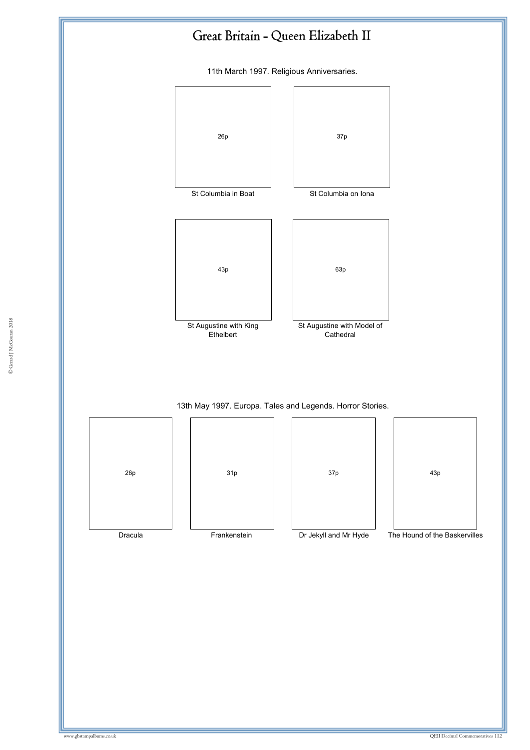

11th March 1997. Religious Anniversaries.





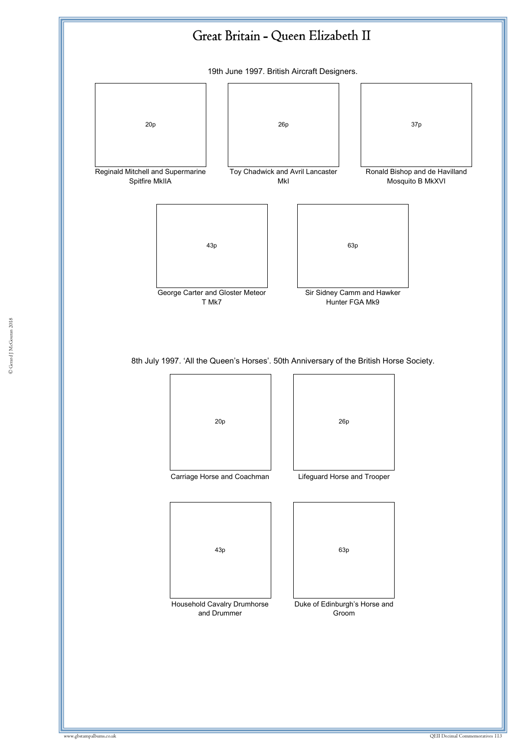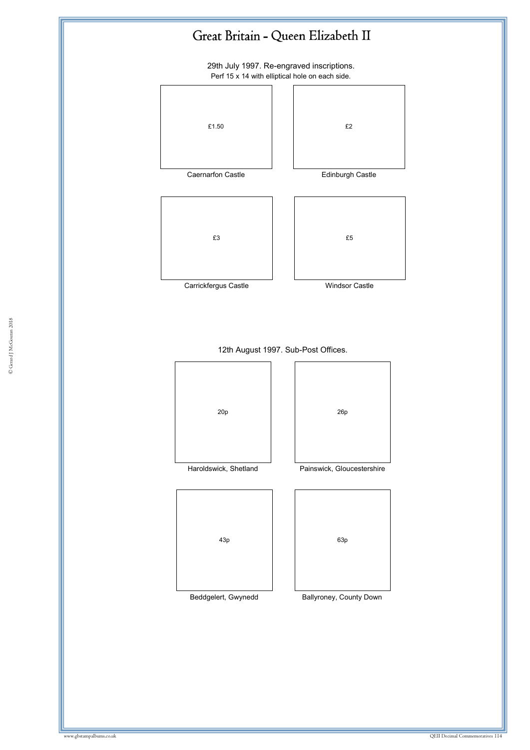29th July 1997. Re-engraved inscriptions. Perf 15 x 14 with elliptical hole on each side.







Haroldswick, Shetland Painswick, Gloucestershire



Beddgelert, Gwynedd

Ballyroney, County Down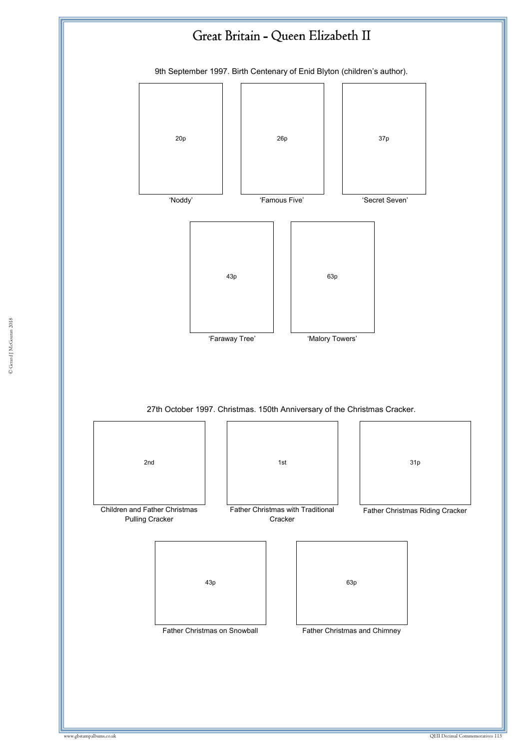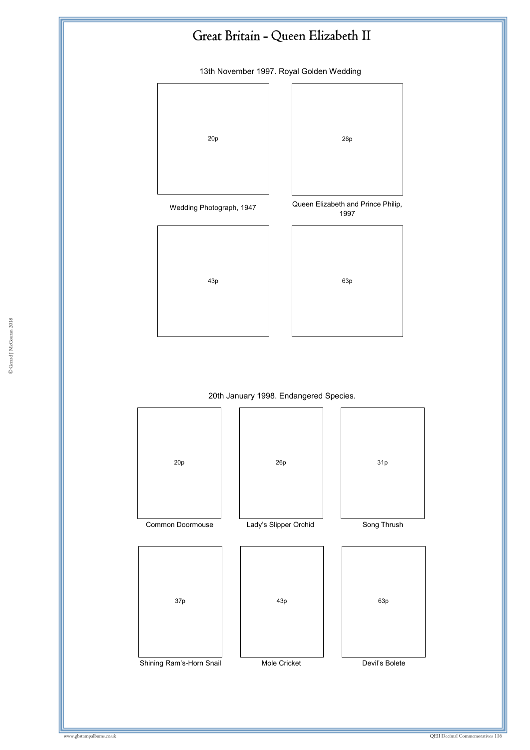13th November 1997. Royal Golden Wedding



#### 20th January 1998. Endangered Species.

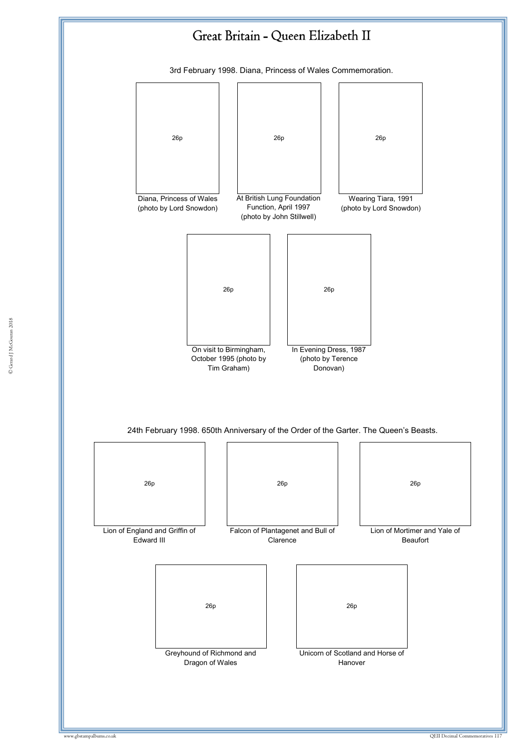

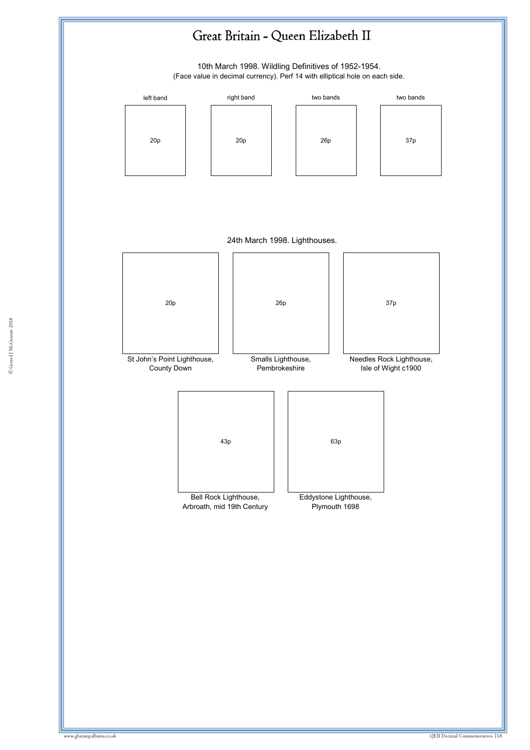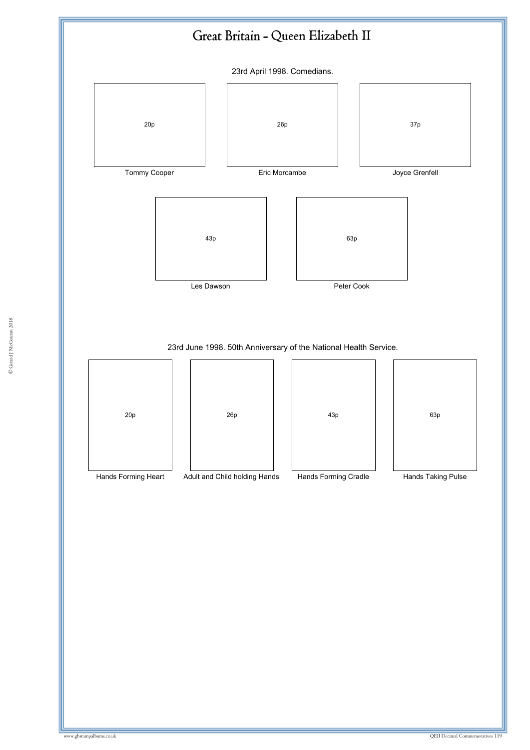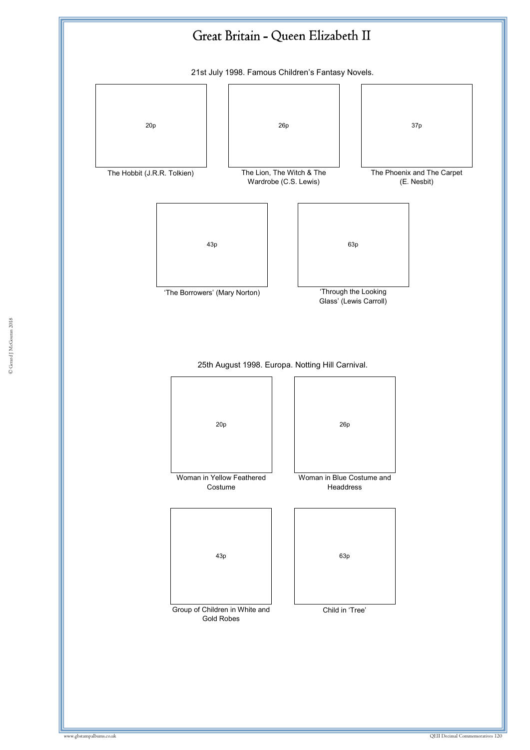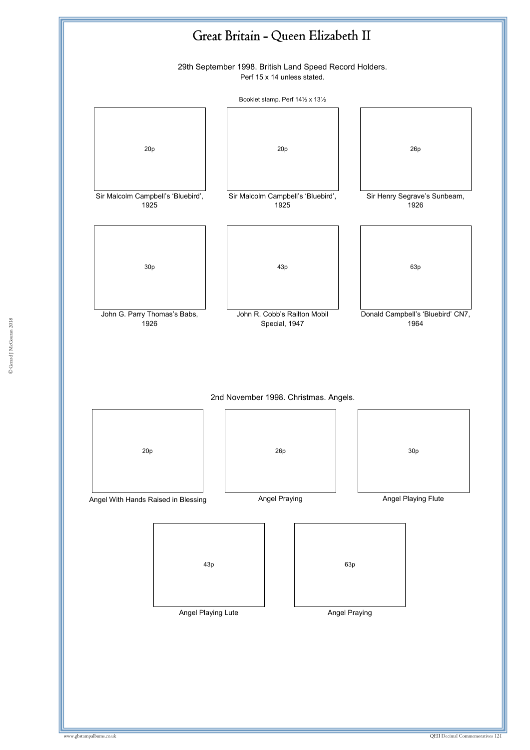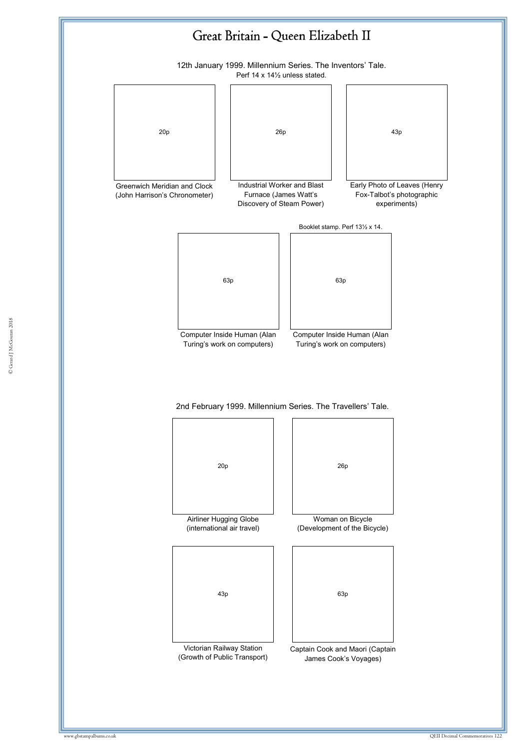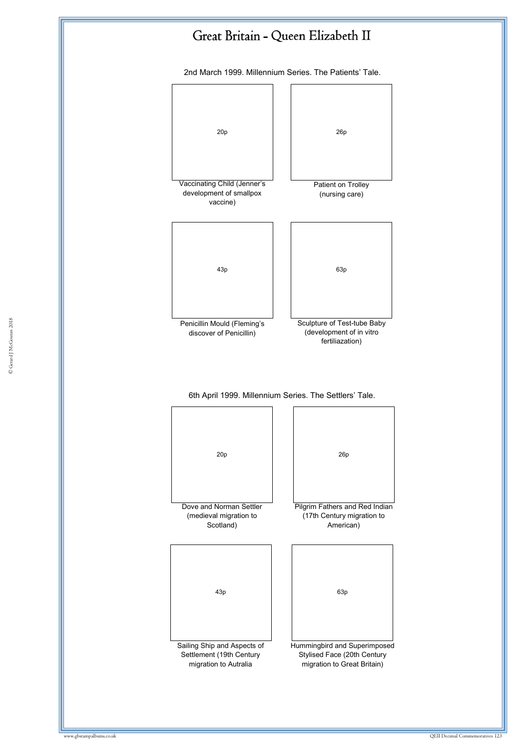



American)



Settlement (19th Century migration to Autralia

(medieval migration to Scotland)

> Stylised Face (20th Century migration to Great Britain)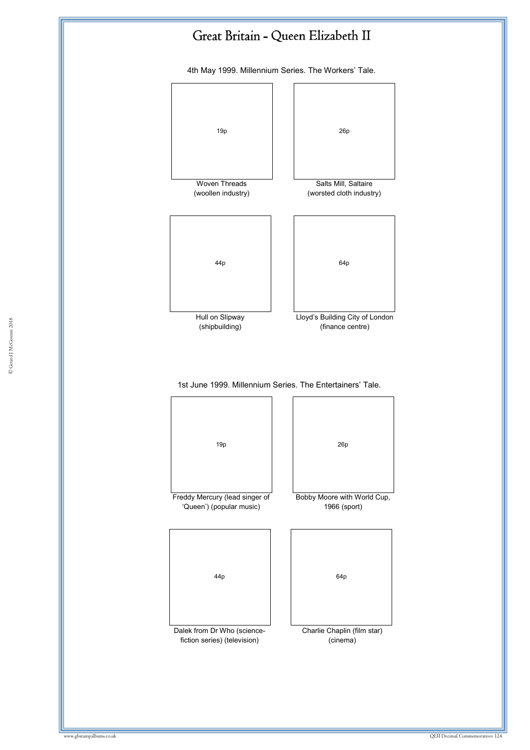

4th May 1999. Millennium Series. The Workers' Tale.



44p 64p Dalek from Dr Who (sciencefiction series) (television) Charlie Chaplin (film star) (cinema)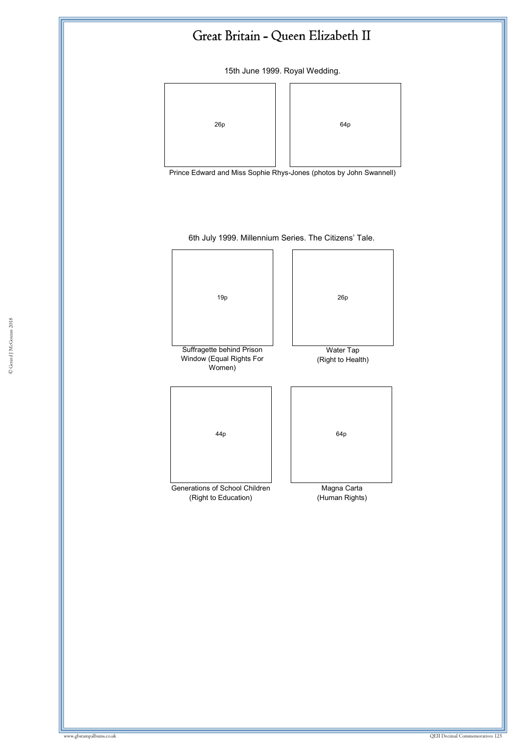15th June 1999. Royal Wedding.



Prince Edward and Miss Sophie Rhys-Jones (photos by John Swannell)

6th July 1999. Millennium Series. The Citizens' Tale.

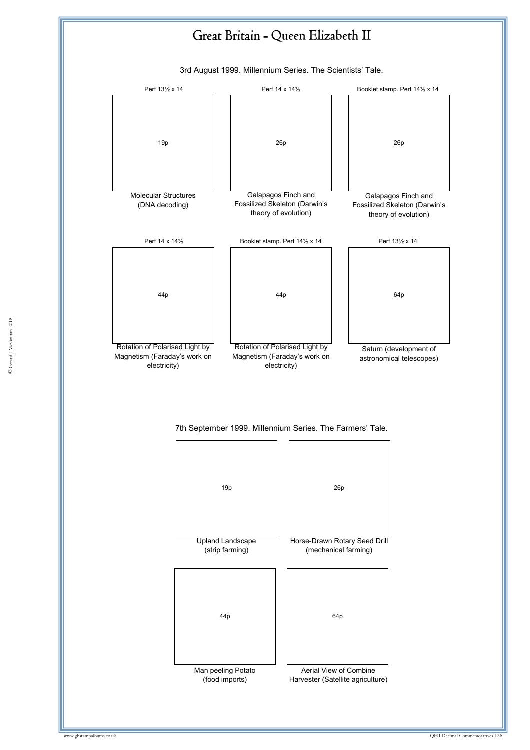



#### 7th September 1999. Millennium Series. The Farmers' Tale.



© Gerard J McGouran 2018 © Gerard J McGouran 2018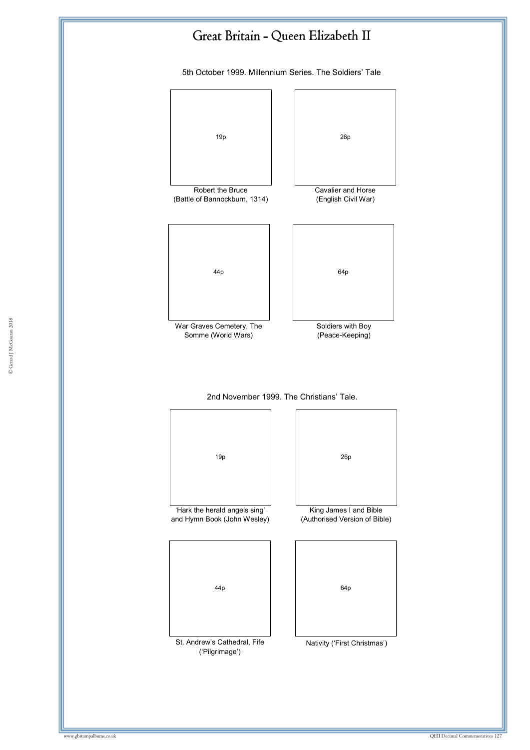

5th October 1999. Millennium Series. The Soldiers' Tale





44p 26p 64p 19p 'Hark the herald angels sing' and Hymn Book (John Wesley) (Authorised Version of Bible)

St. Andrew's Cathedral, Fife ('Pilgrimage')

King James I and Bible

Nativity ('First Christmas')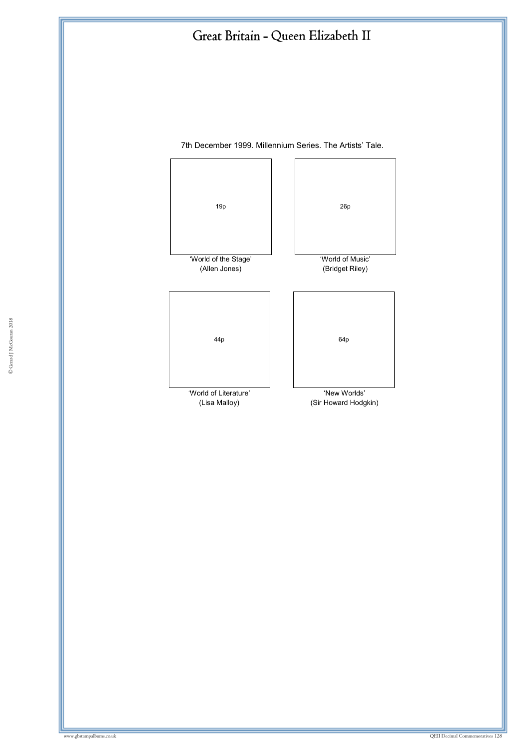

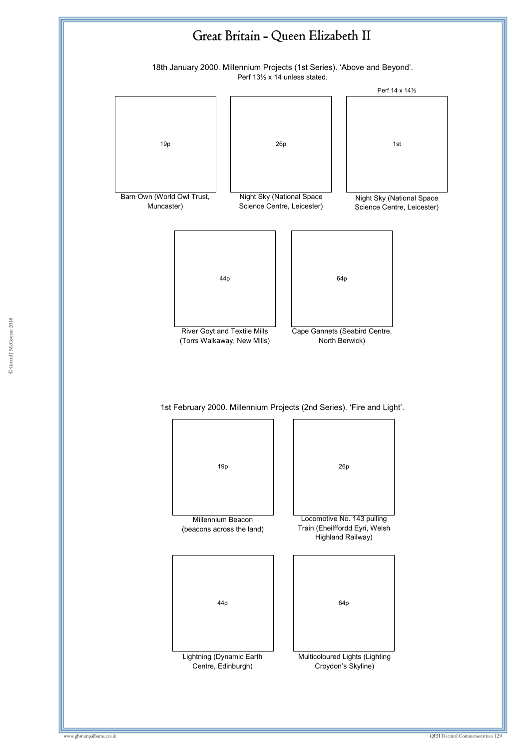

44p

Lightning (Dynamic Earth Centre, Edinburgh)

64p

Multicoloured Lights (Lighting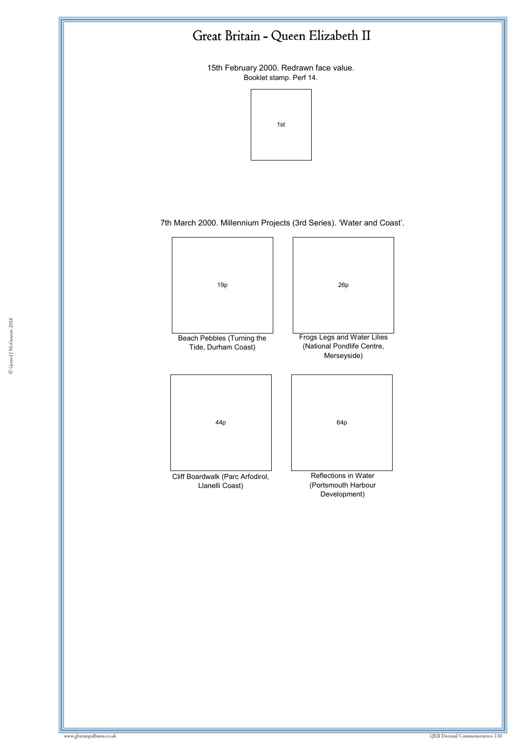15th February 2000. Redrawn face value. Booklet stamp. Perf 14.



7th March 2000. Millennium Projects (3rd Series). 'Water and Coast'.

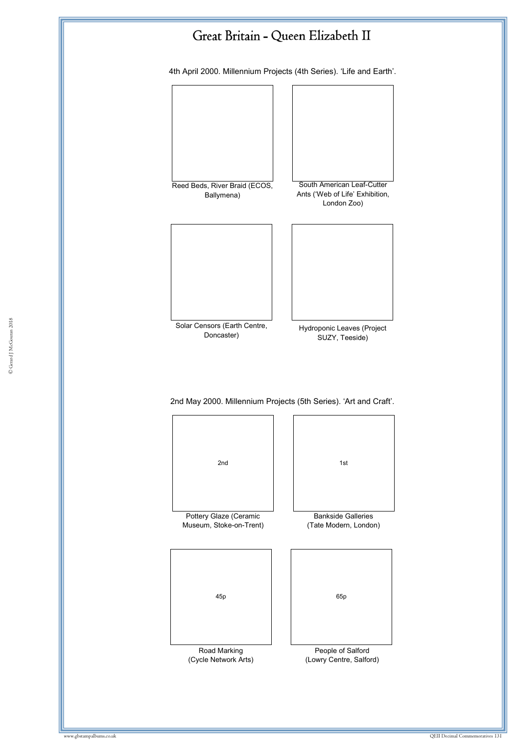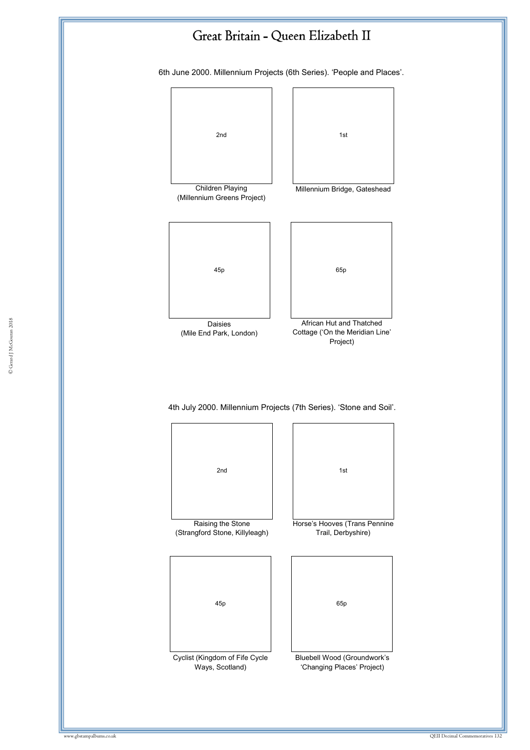



Raising the Stone (Strangford Stone, Killyleagh)

45p

Cyclist (Kingdom of Fife Cycle Ways, Scotland)





Bluebell Wood (Groundwork's 'Changing Places' Project)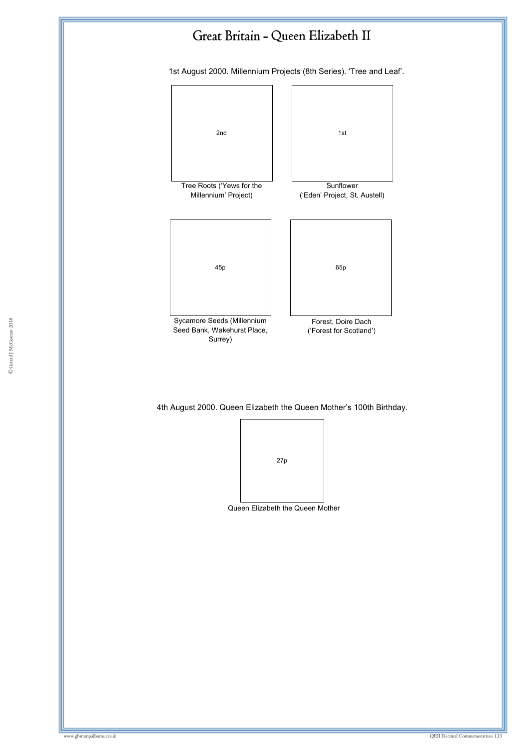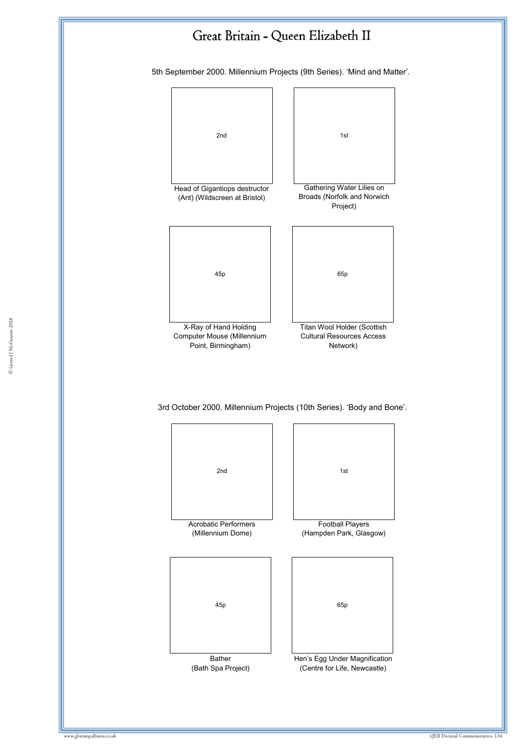



© Gerard J McGouran 2018 © Gerard J McGouran 2018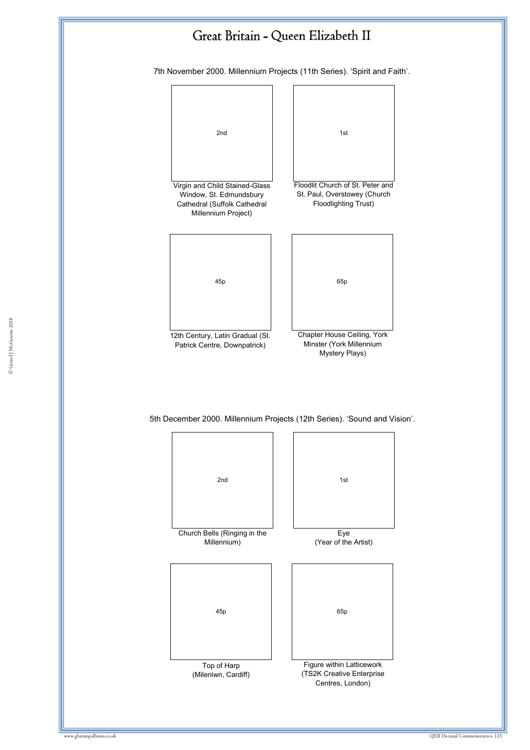

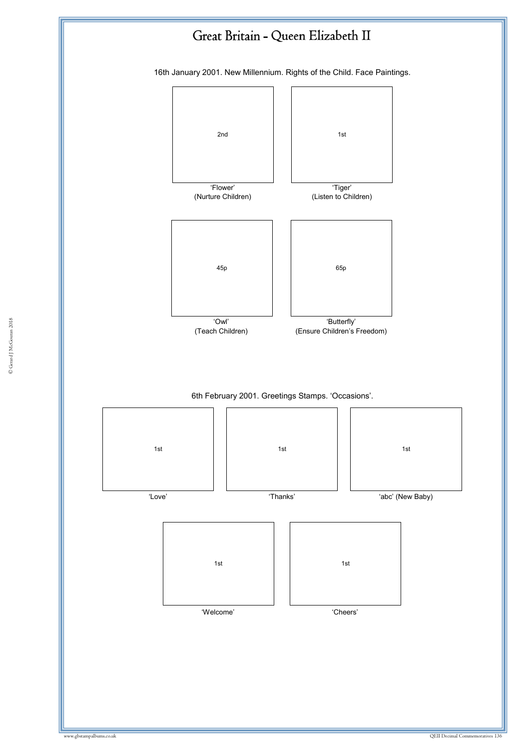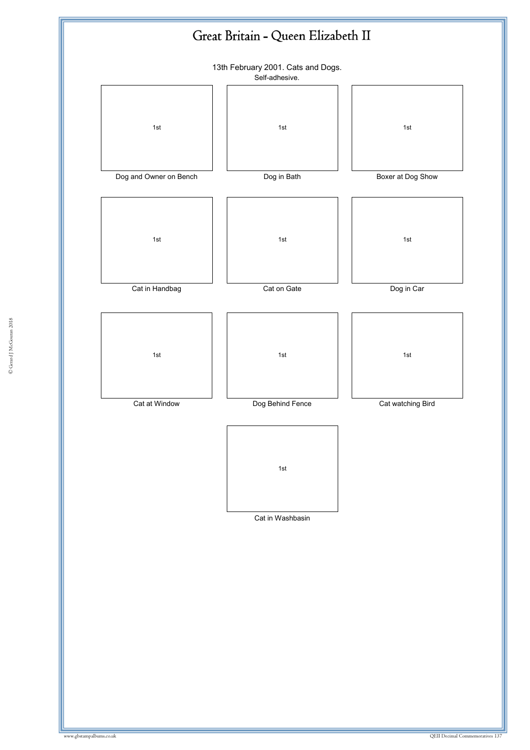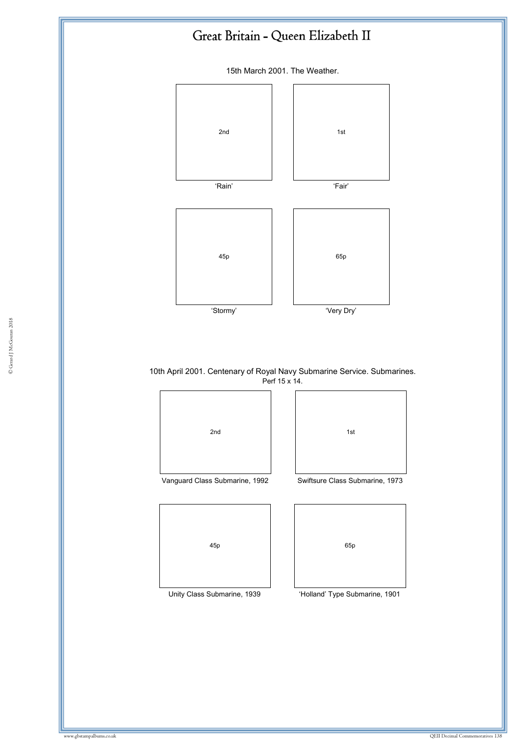15th March 2001. The Weather.



10th April 2001. Centenary of Royal Navy Submarine Service. Submarines. Perf 15 x 14.



Unity Class Submarine, 1939 'Holland' Type Submarine, 1901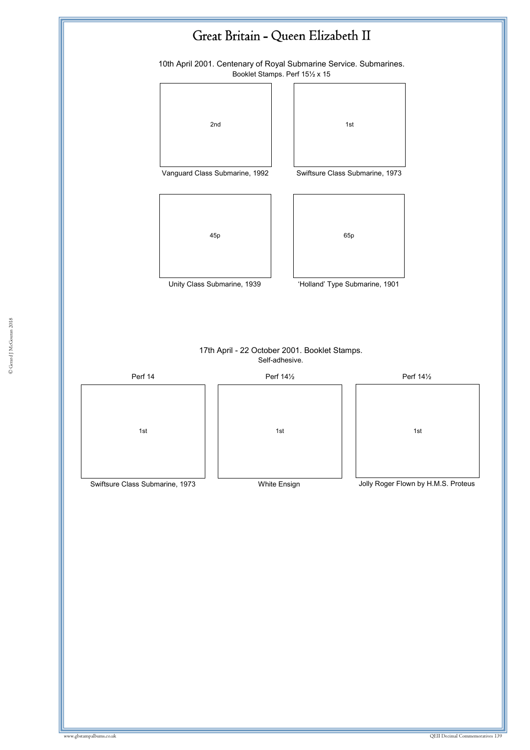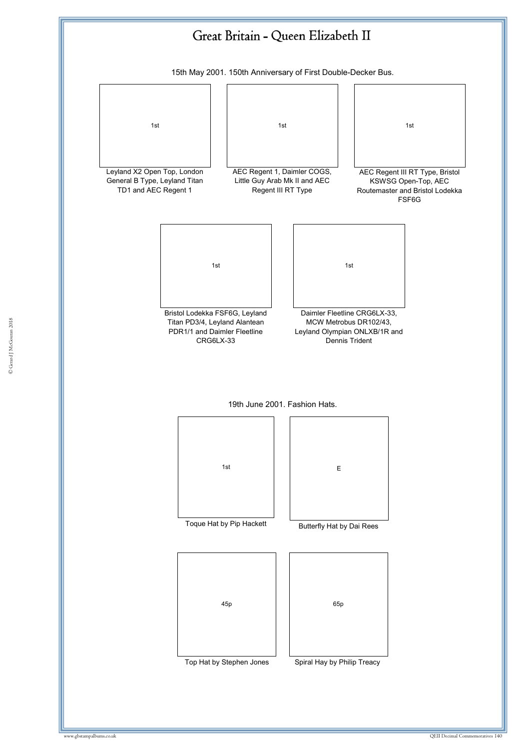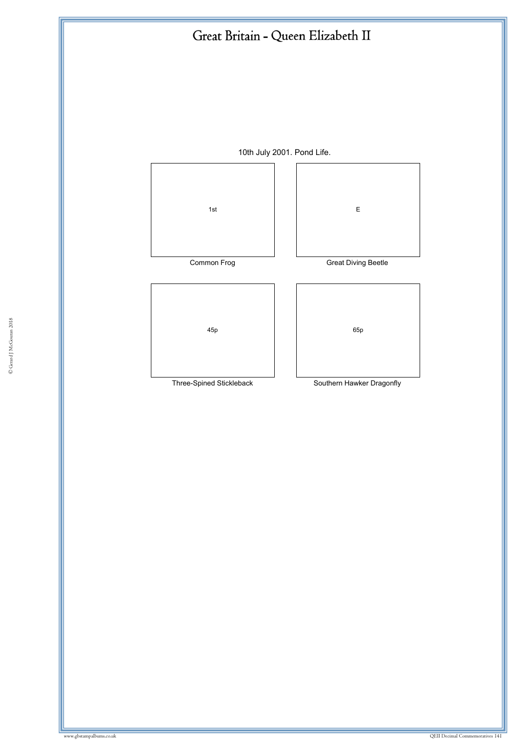10th July 2001. Pond Life.

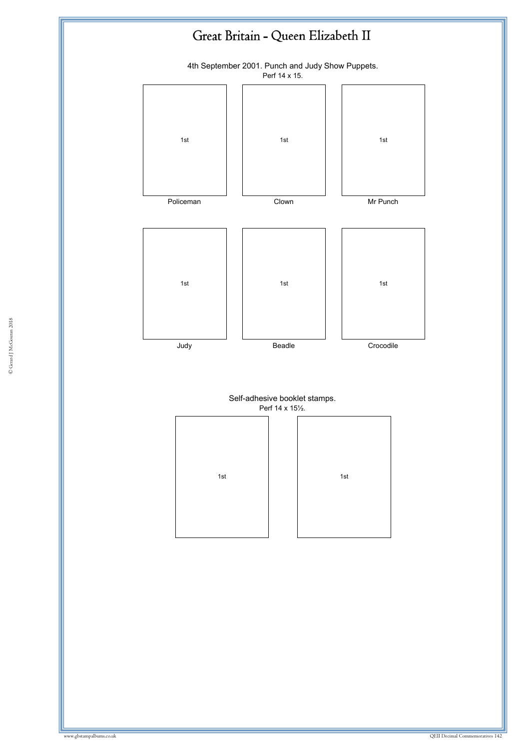

4th September 2001. Punch and Judy Show Puppets. Perf 14 x 15.



Self-adhesive booklet stamps. Perf 14 x 15½.



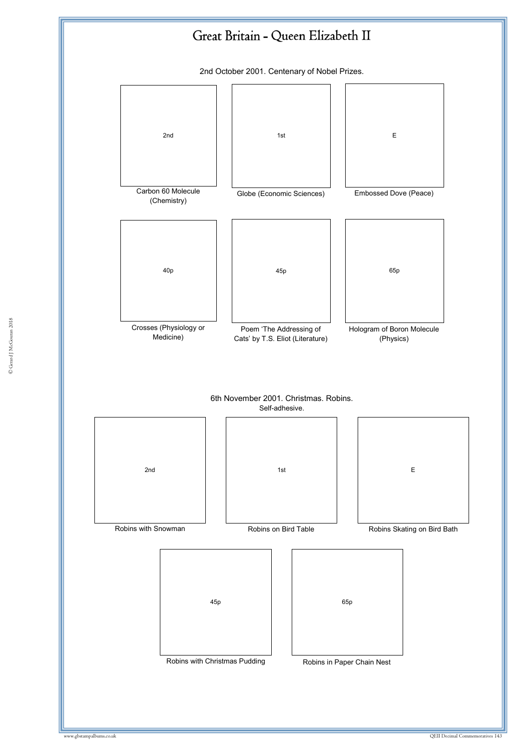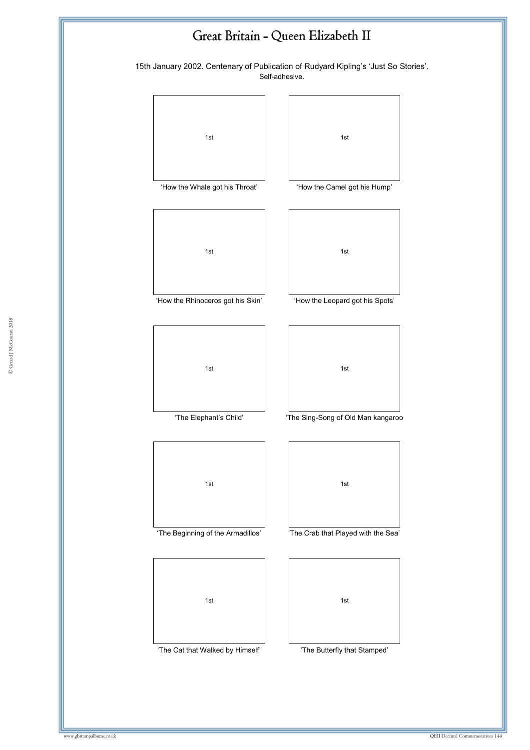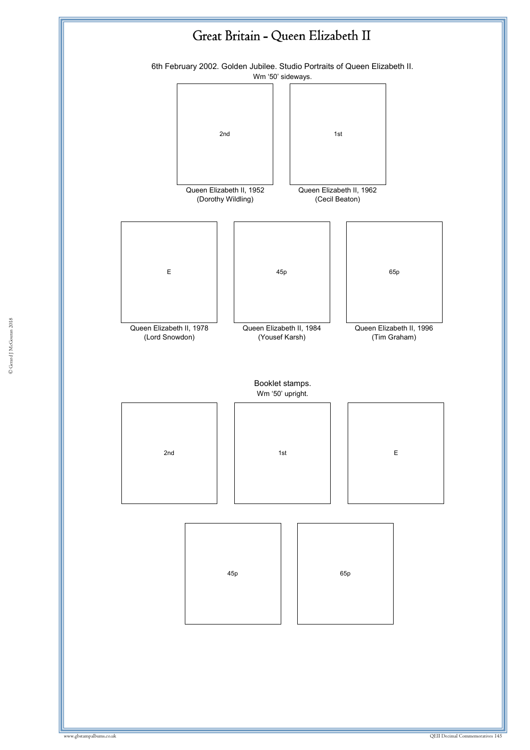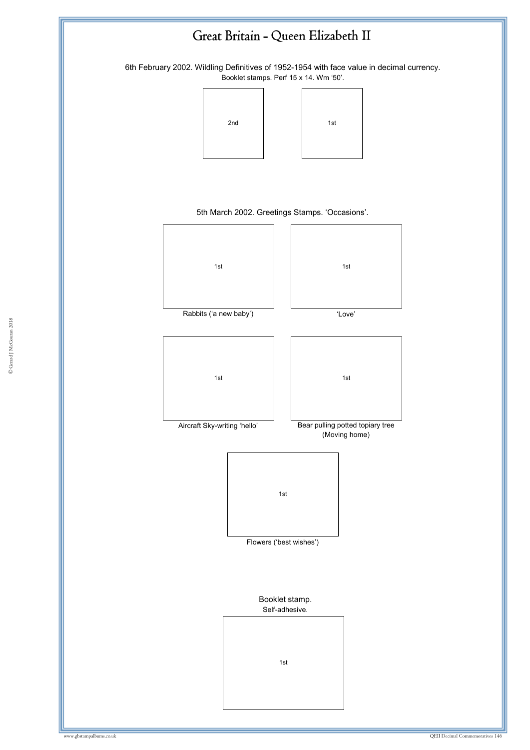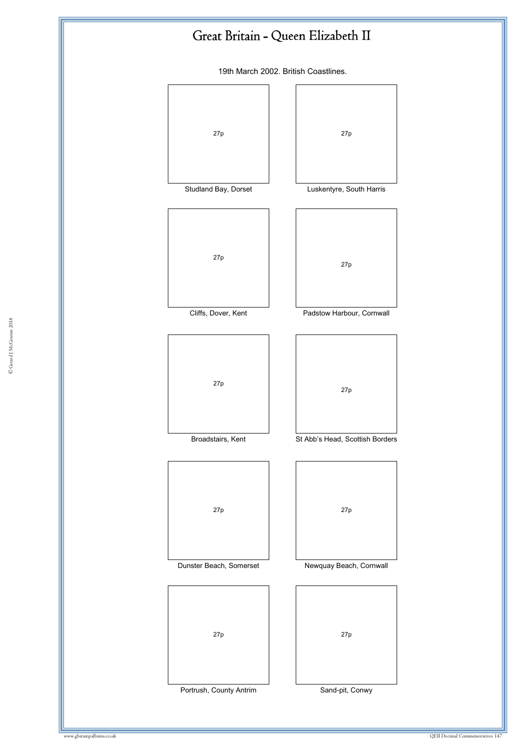19th March 2002. British Coastlines.

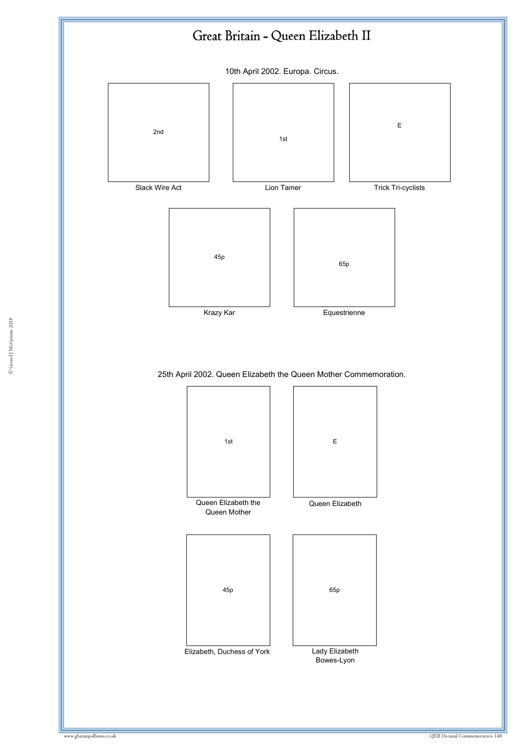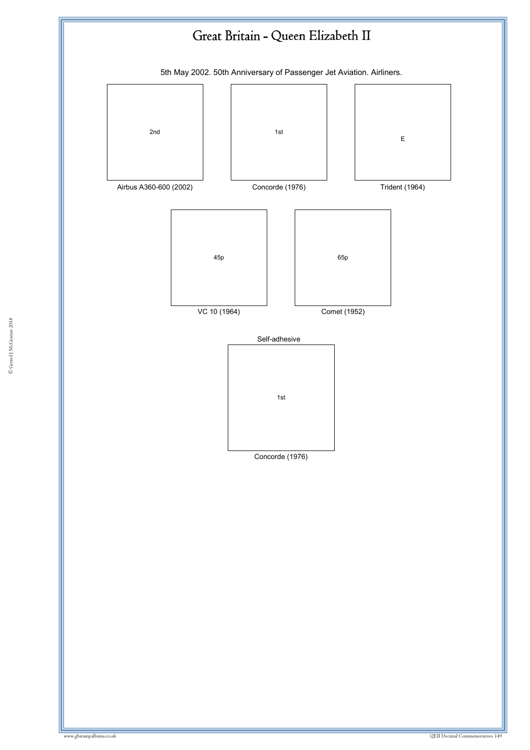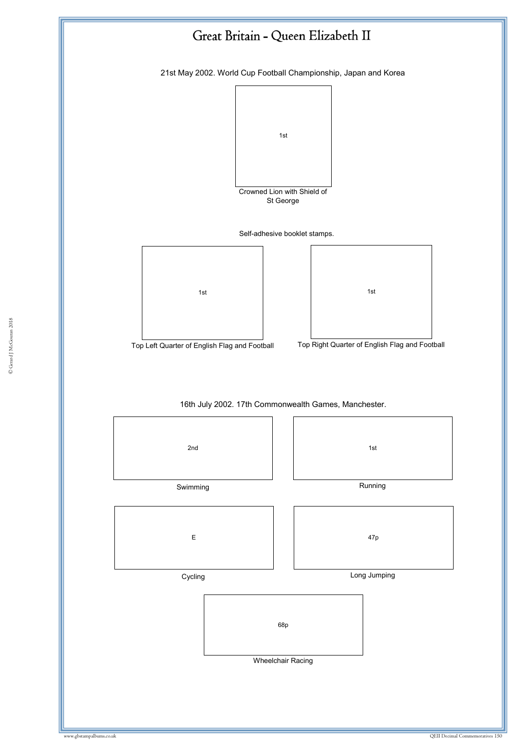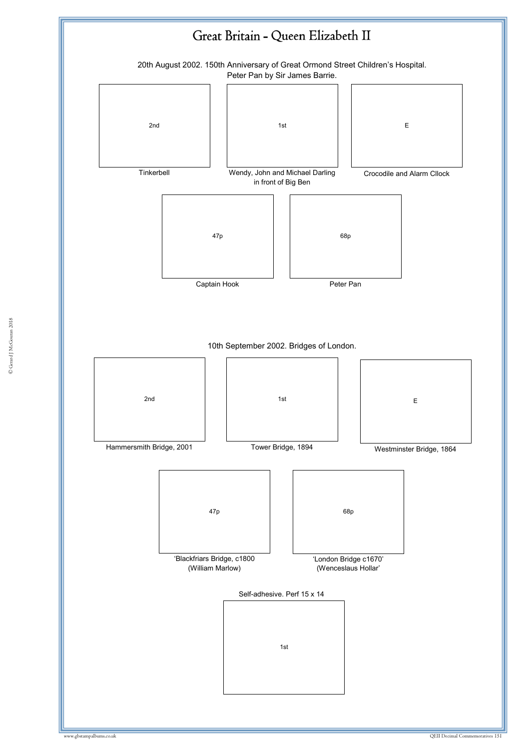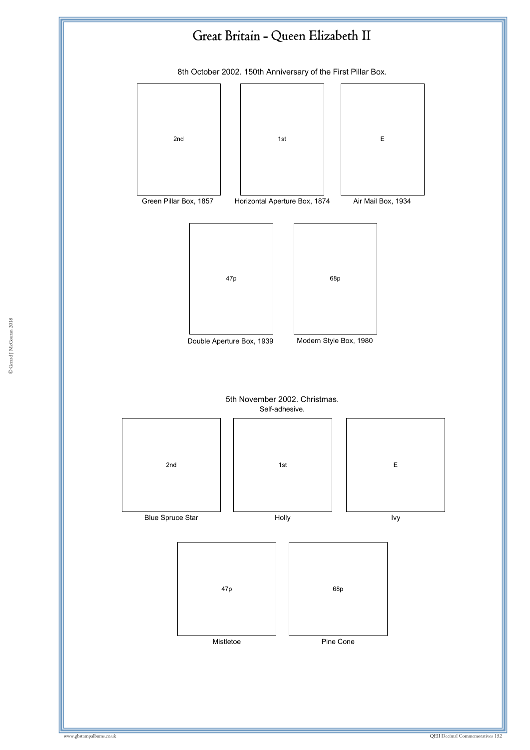

8th October 2002. 150th Anniversary of the First Pillar Box.

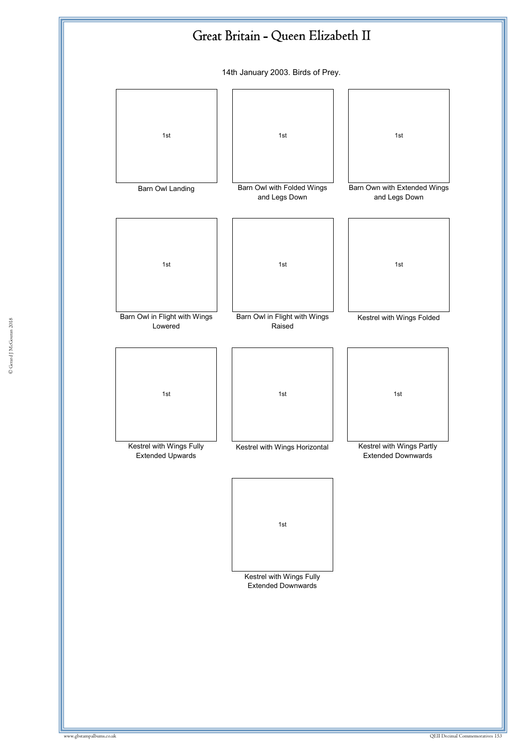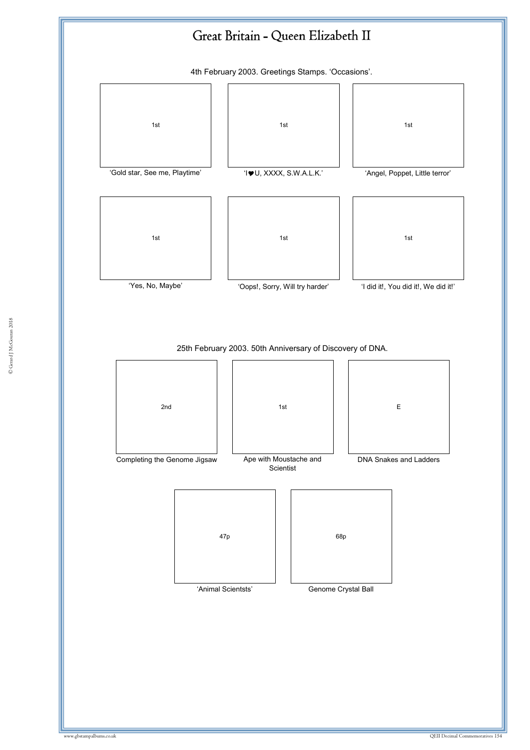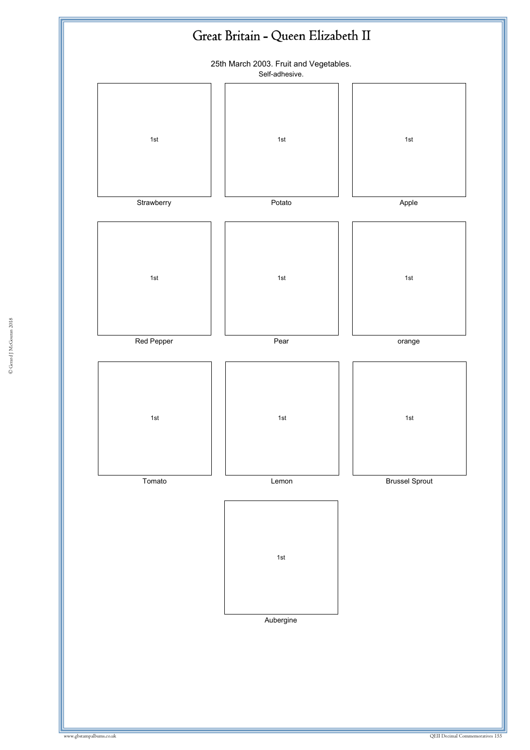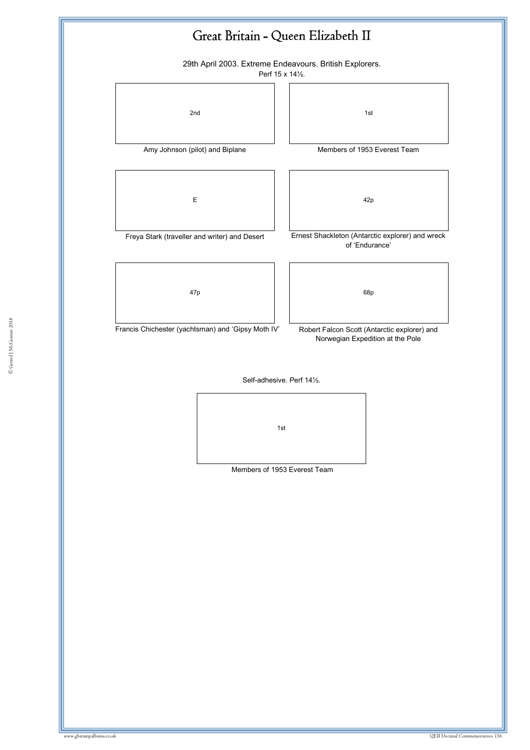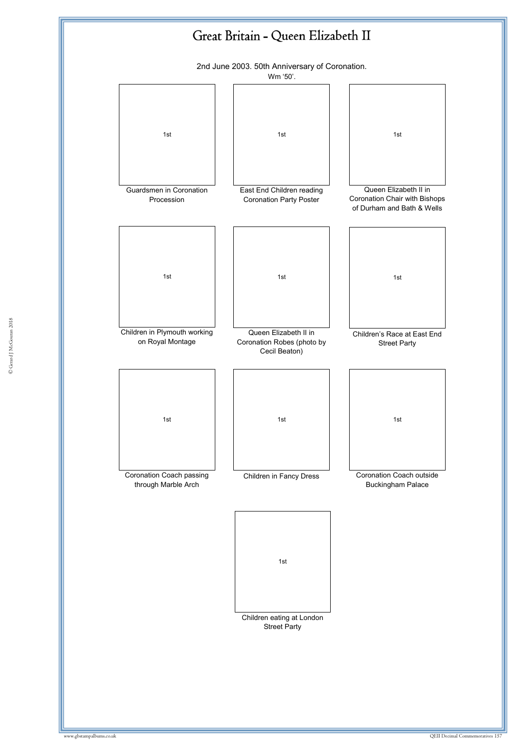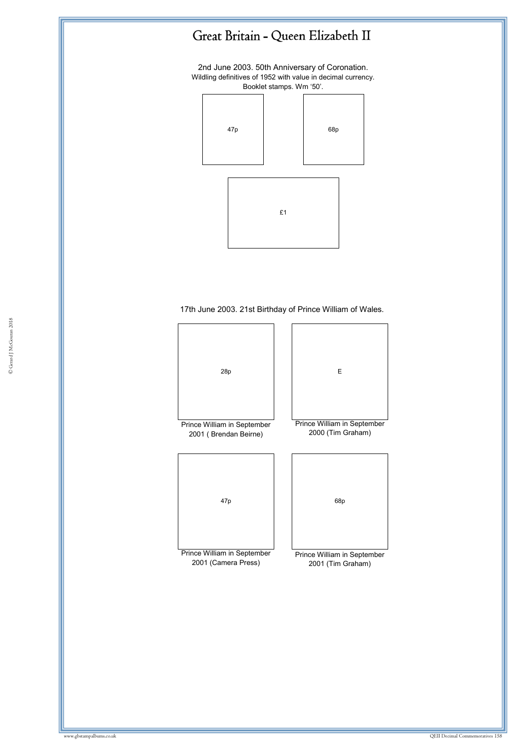2nd June 2003. 50th Anniversary of Coronation. Wildling definitives of 1952 with value in decimal currency. Booklet stamps. Wm '50'.



17th June 2003. 21st Birthday of Prince William of Wales.



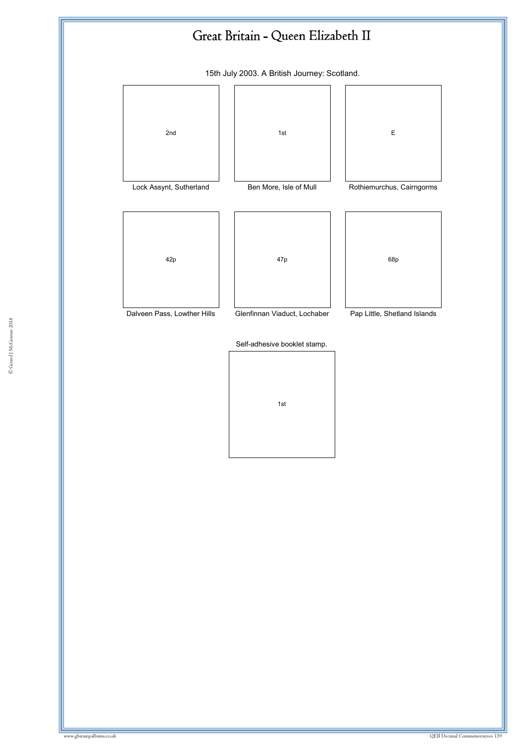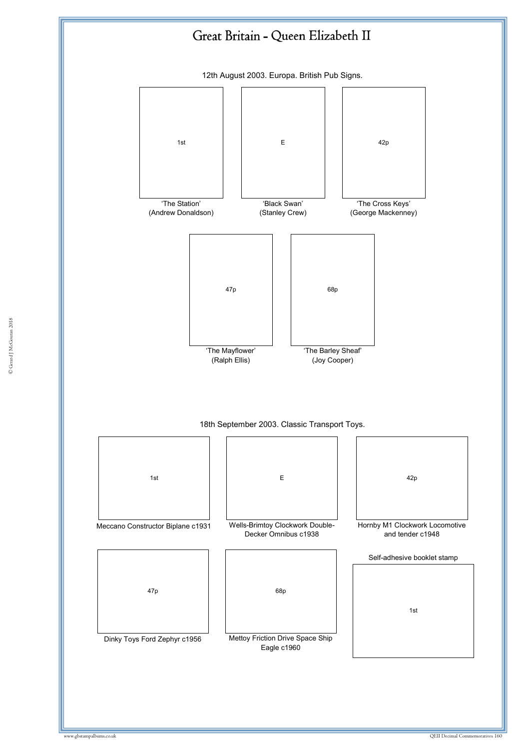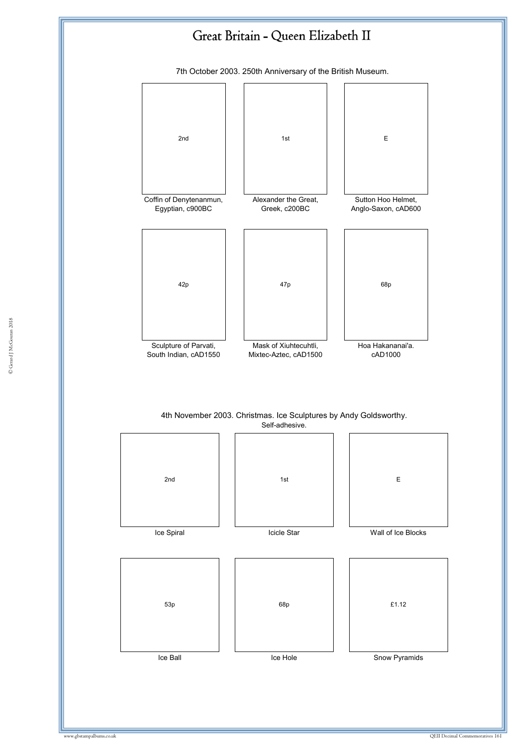7th October 2003. 250th Anniversary of the British Museum.





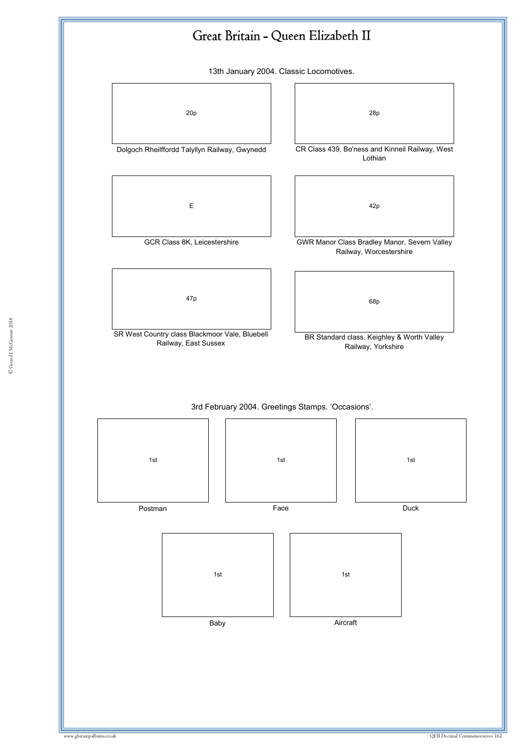

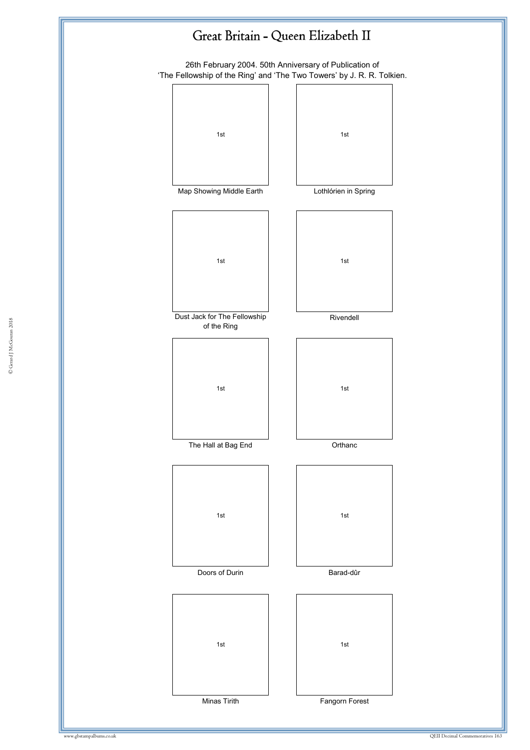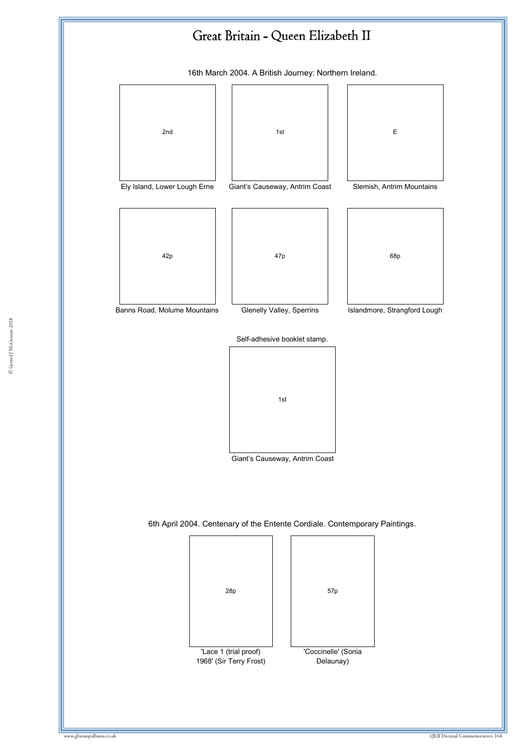

16th March 2004. A British Journey: Northern Ireland.

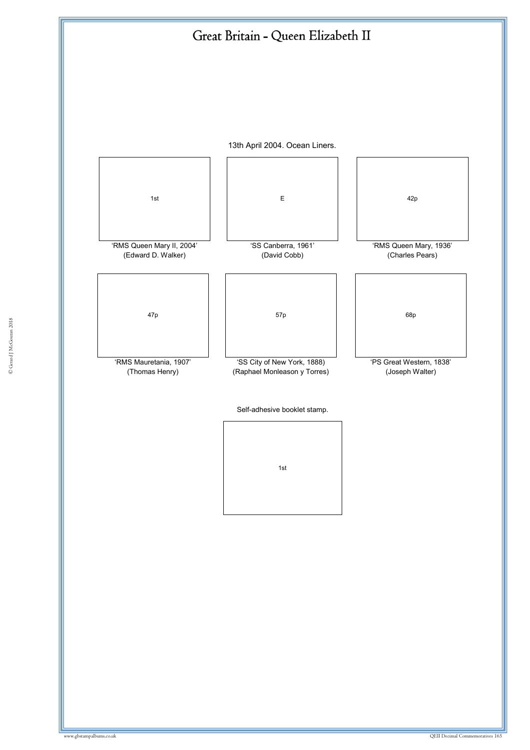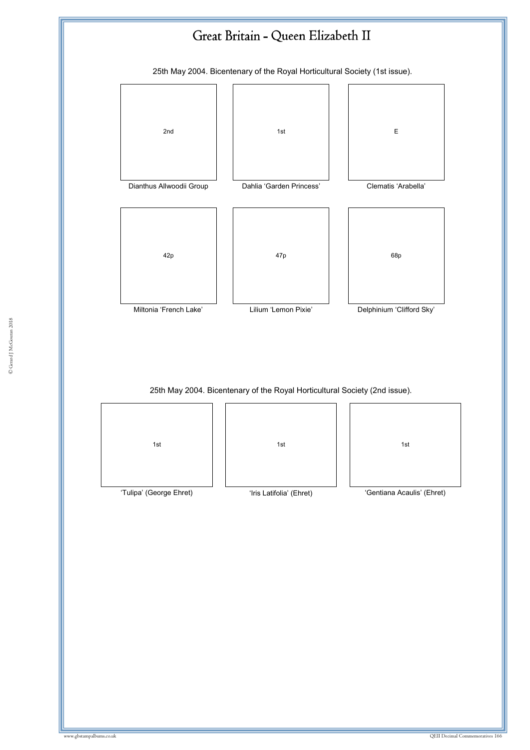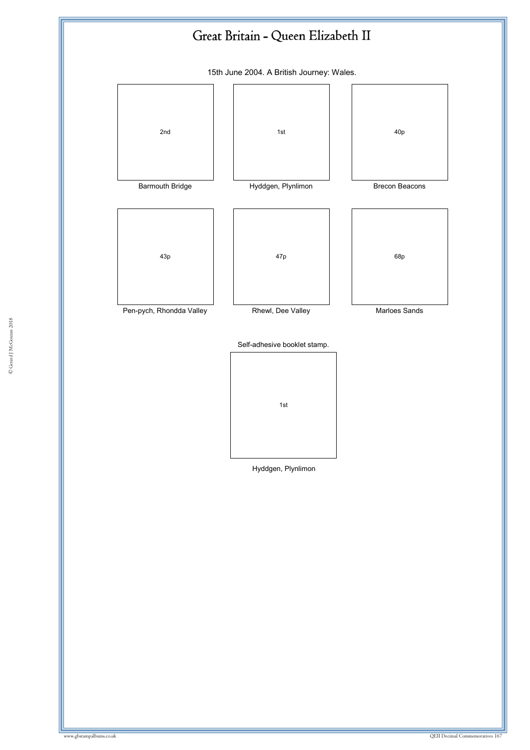

15th June 2004. A British Journey: Wales.

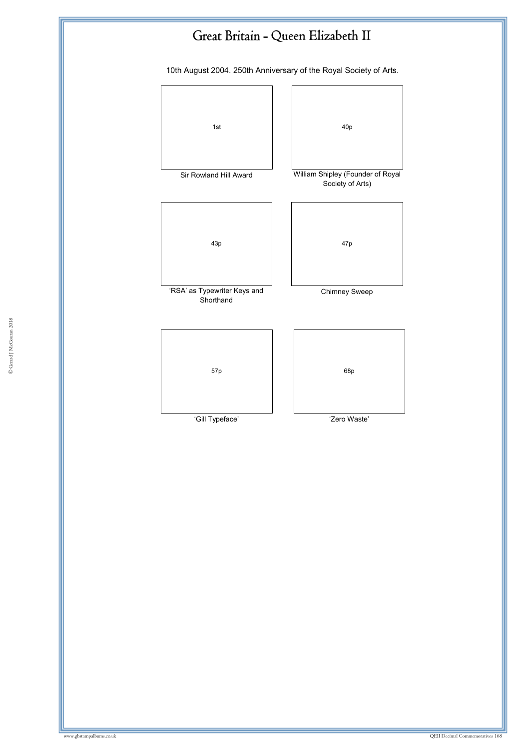

10th August 2004. 250th Anniversary of the Royal Society of Arts.

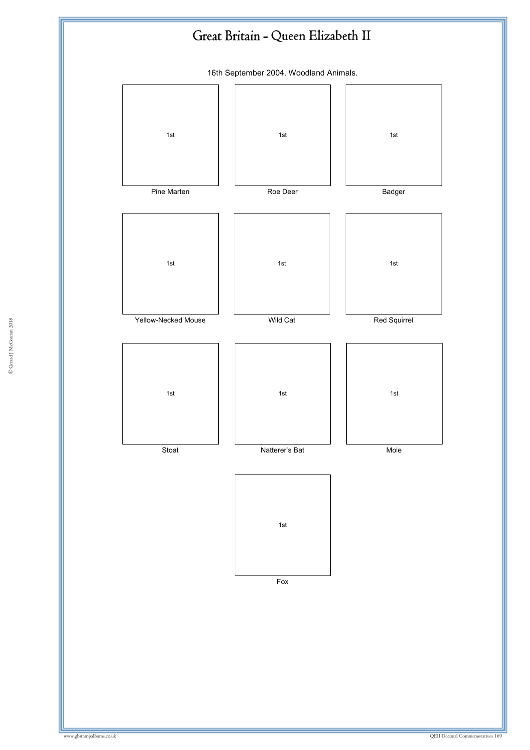

16th September 2004. Woodland Animals.

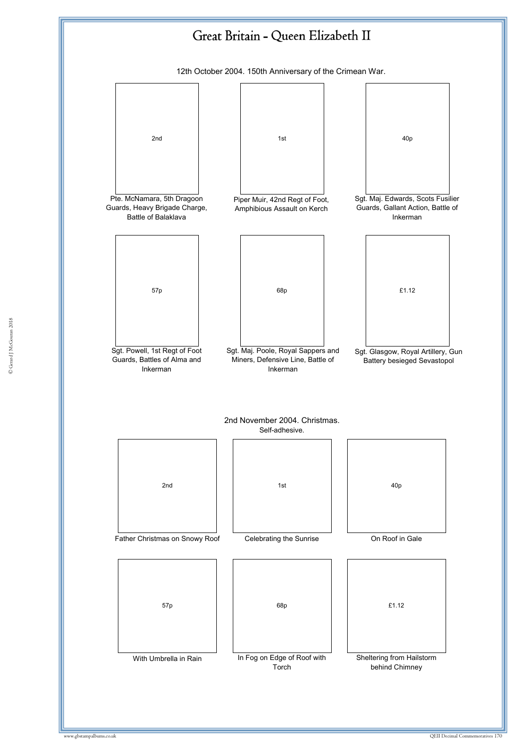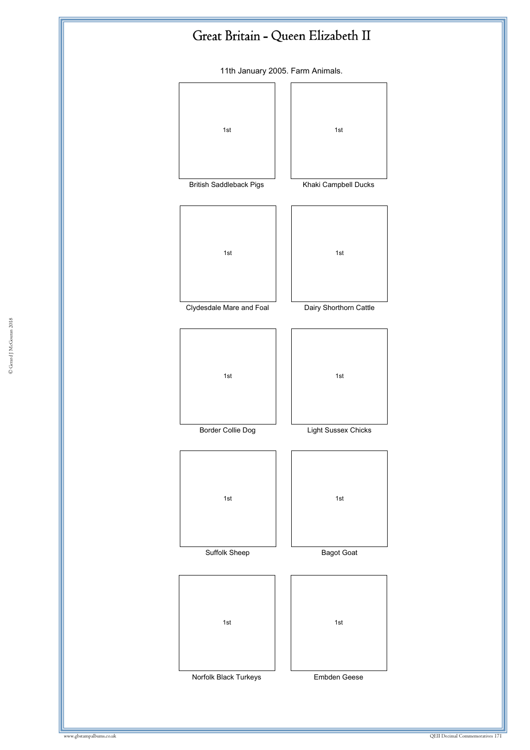11th January 2005. Farm Animals.

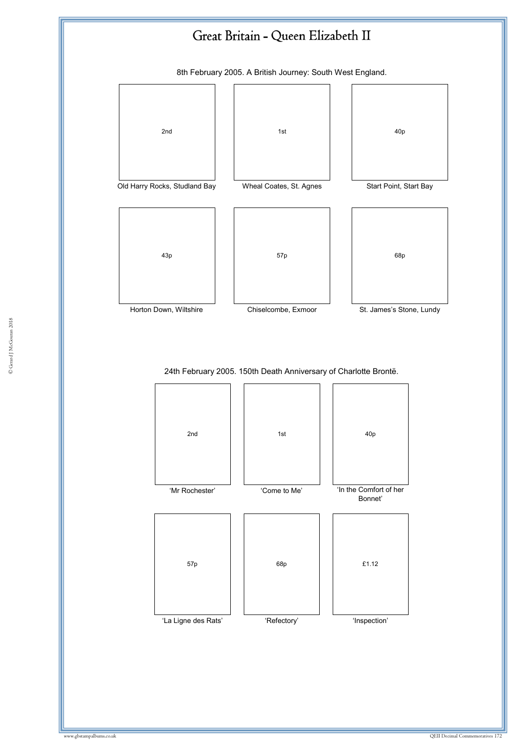

8th February 2005. A British Journey: South West England.

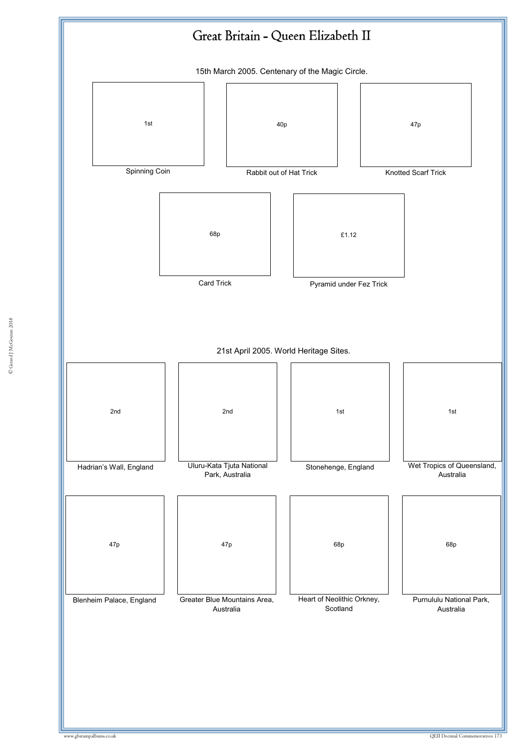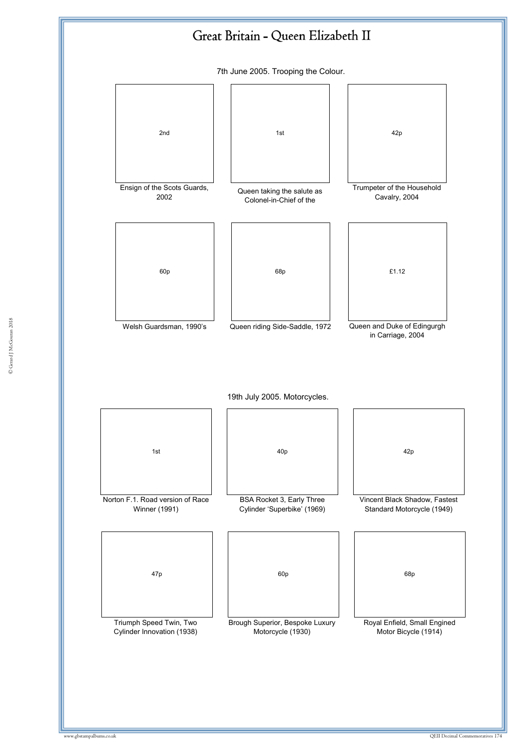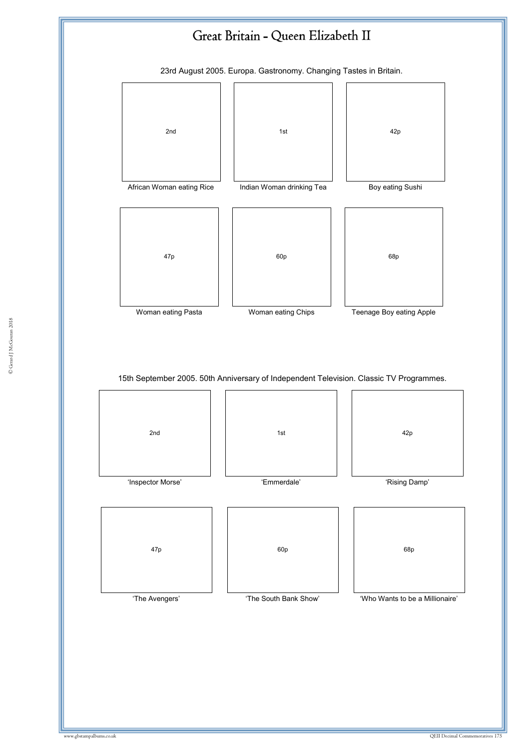

15th September 2005. 50th Anniversary of Independent Television. Classic TV Programmes.

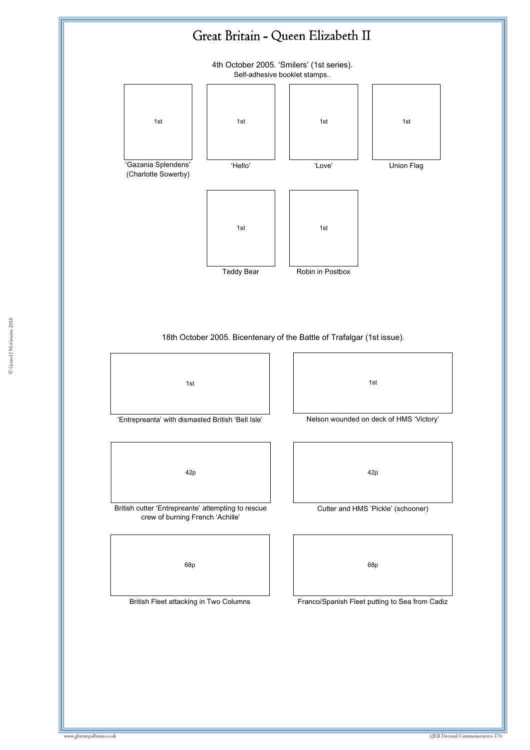

British Fleet attacking in Two Columns

Franco/Spanish Fleet putting to Sea from Cadiz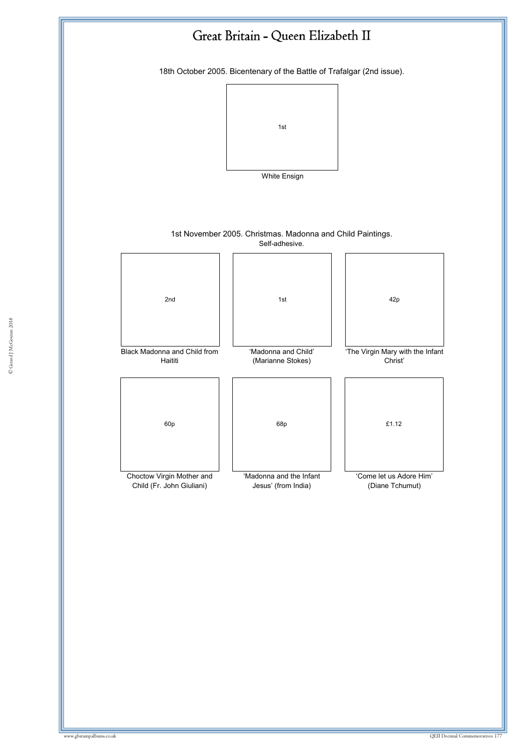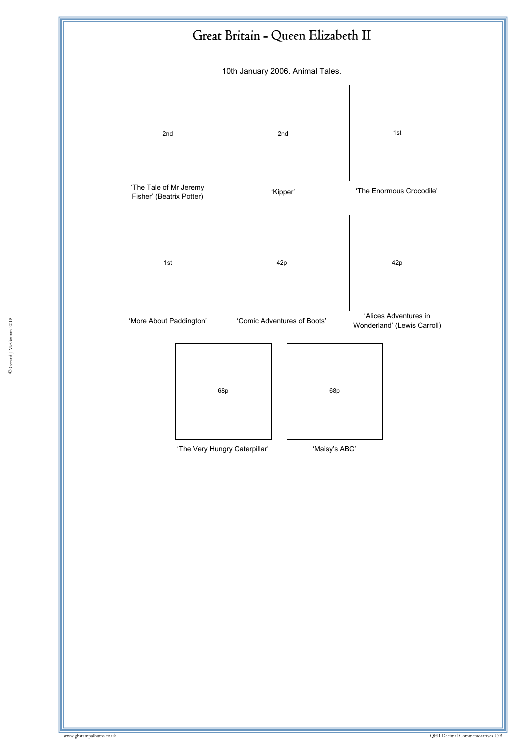

10th January 2006. Animal Tales.

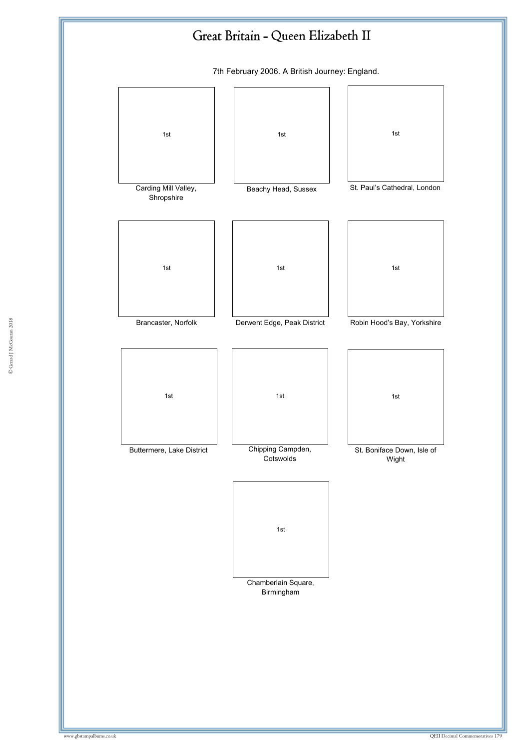

7th February 2006. A British Journey: England.

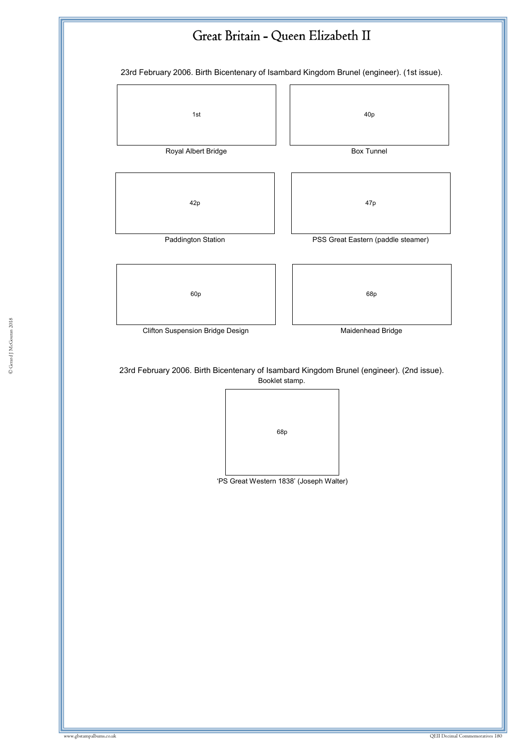23rd February 2006. Birth Bicentenary of Isambard Kingdom Brunel (engineer). (1st issue).

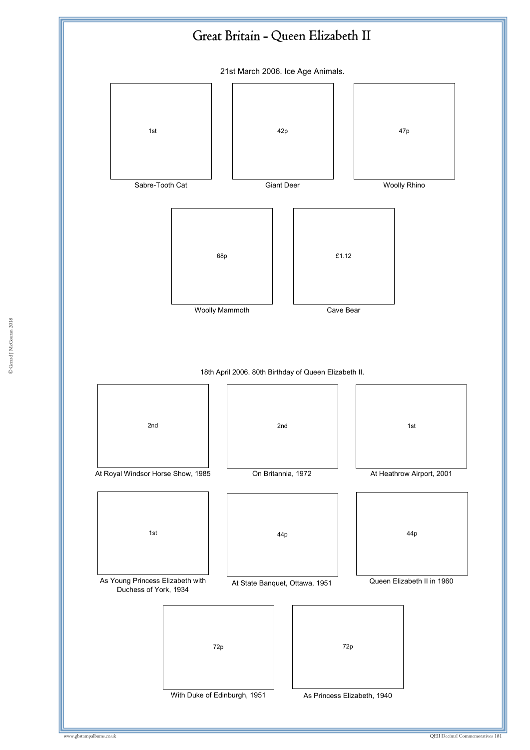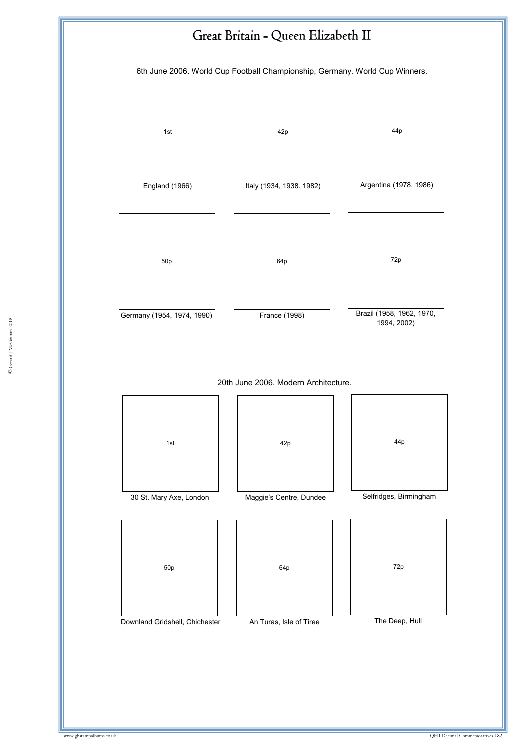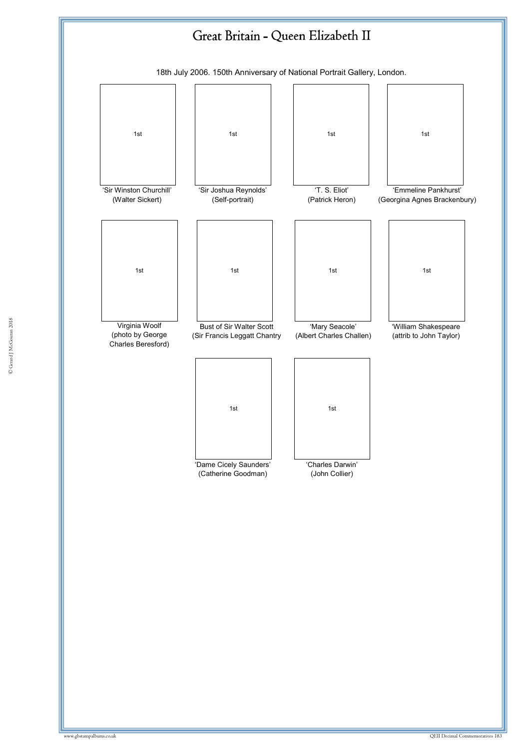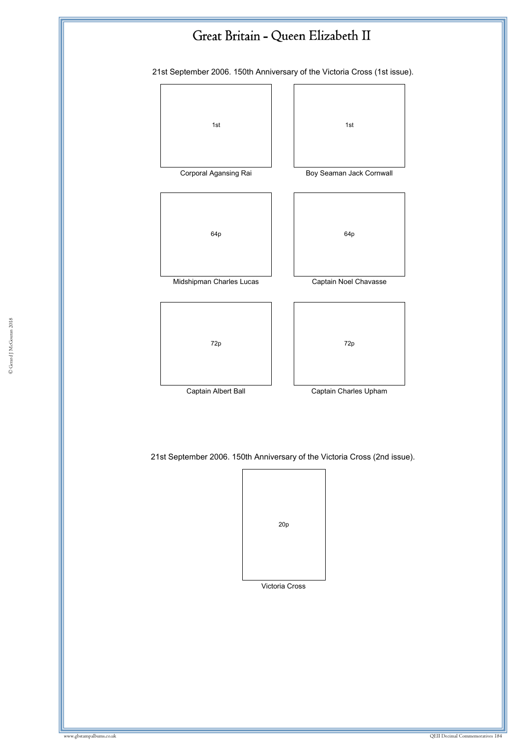

21st September 2006. 150th Anniversary of the Victoria Cross (1st issue).



21st September 2006. 150th Anniversary of the Victoria Cross (2nd issue).

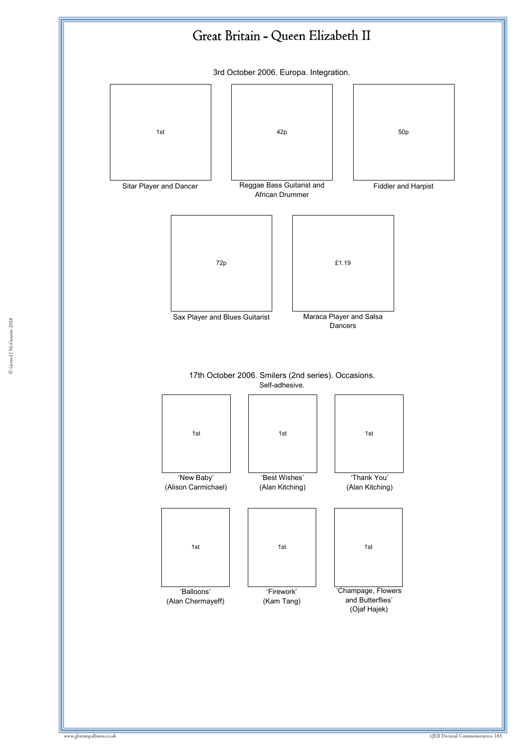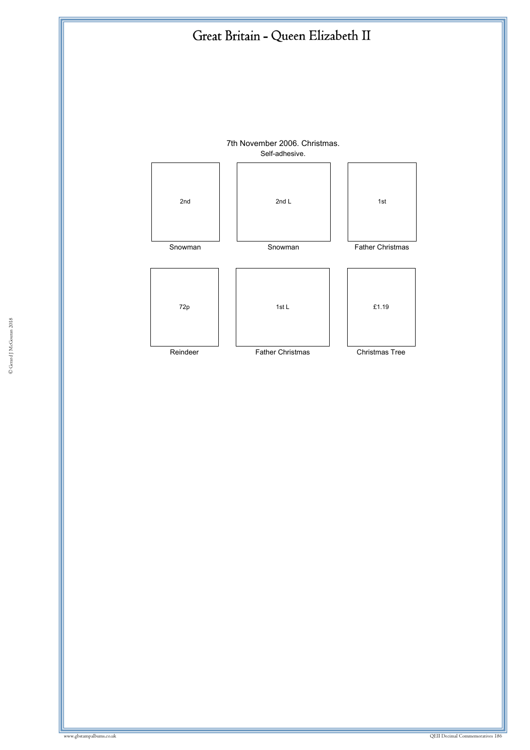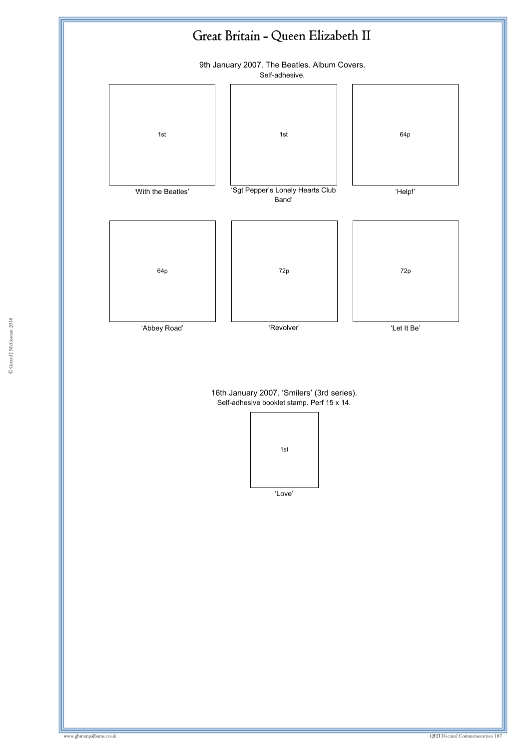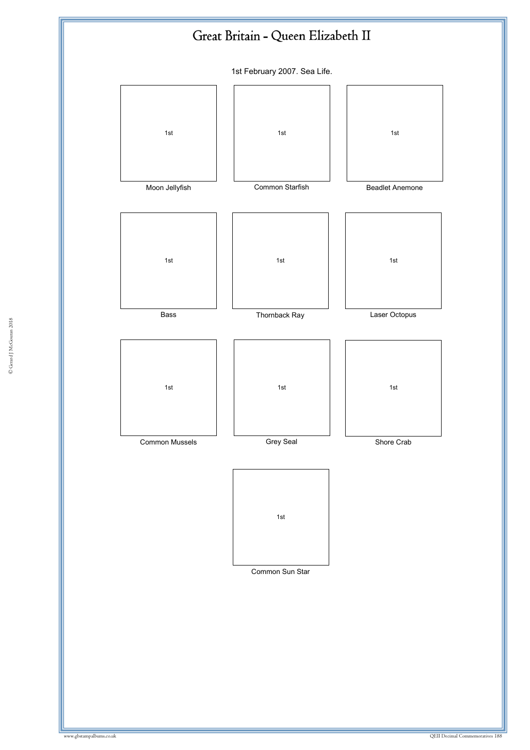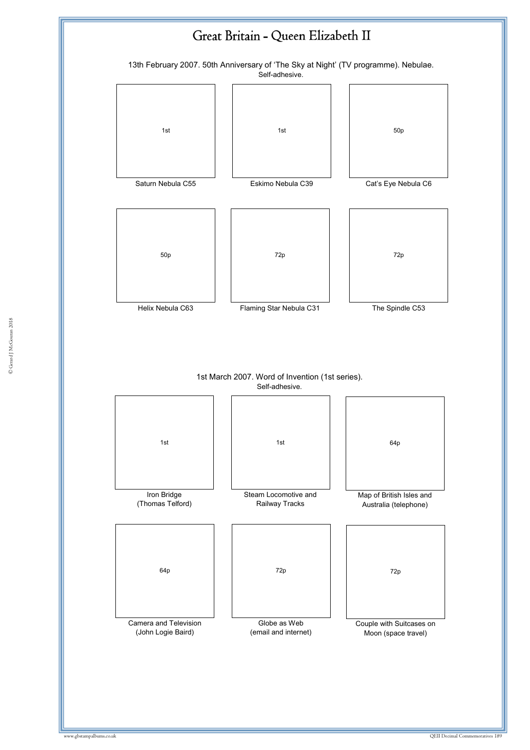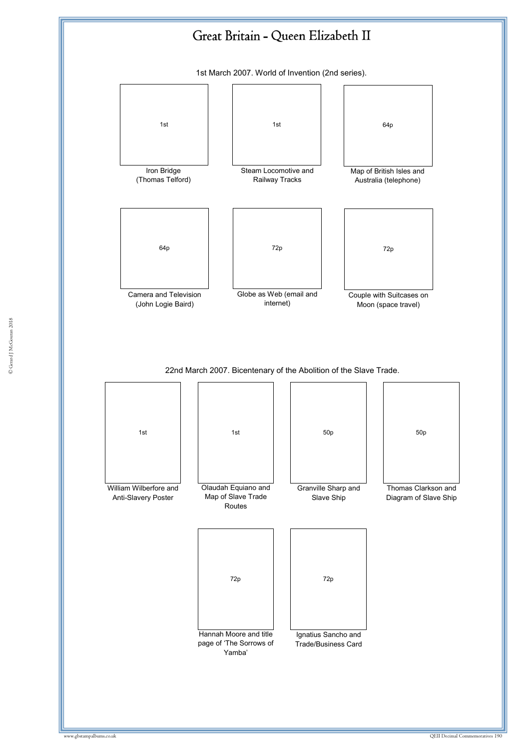

1st March 2007. World of Invention (2nd series).

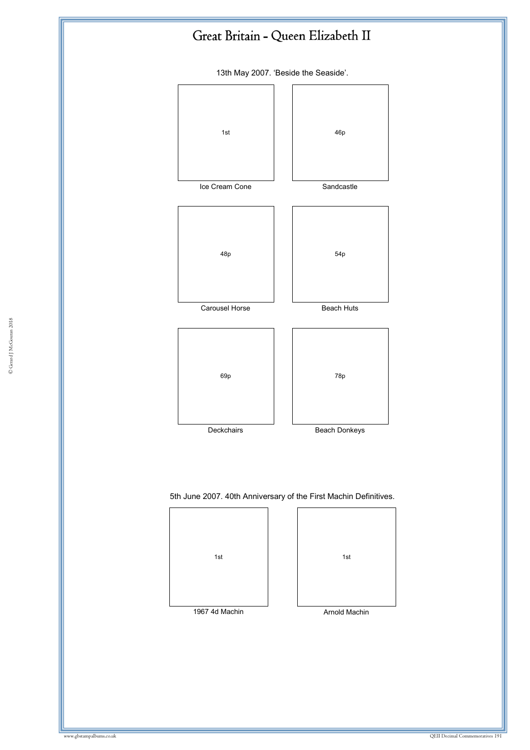13th May 2007. 'Beside the Seaside'.



1967 4d Machin **Arnold Machin**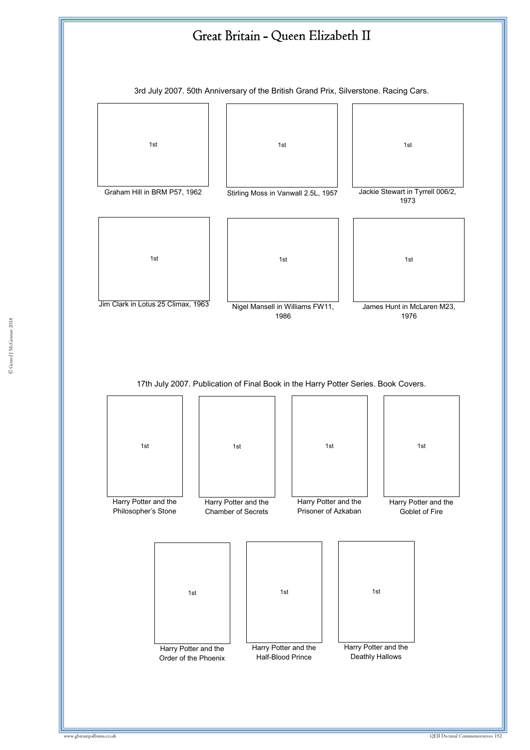



#### 17th July 2007. Publication of Final Book in the Harry Potter Series. Book Covers.

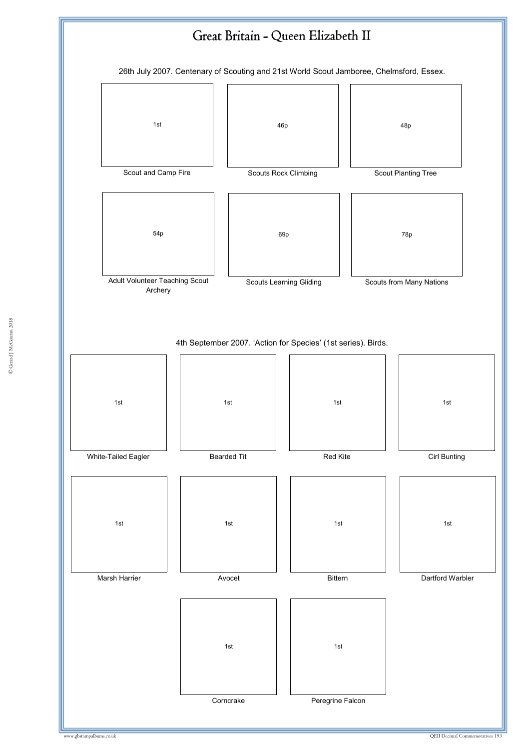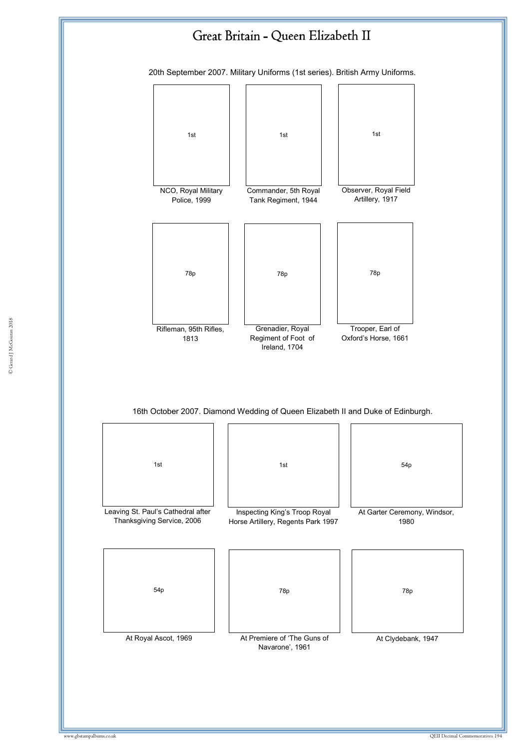

20th September 2007. Military Uniforms (1st series). British Army Uniforms.



16th October 2007. Diamond Wedding of Queen Elizabeth II and Duke of Edinburgh.

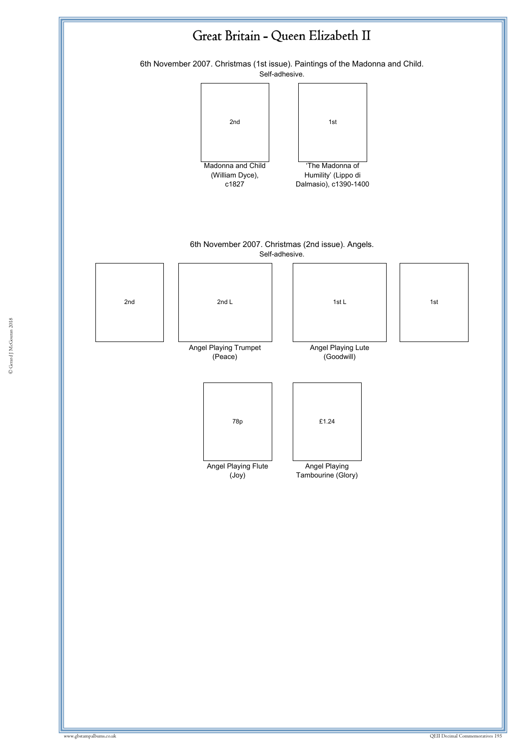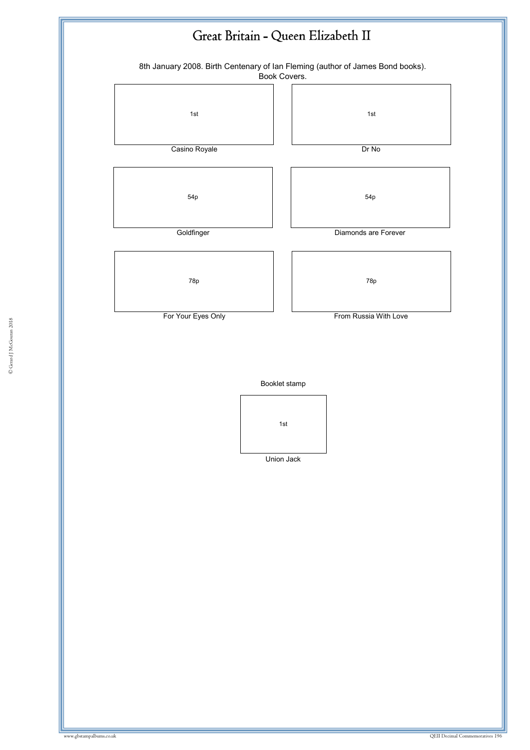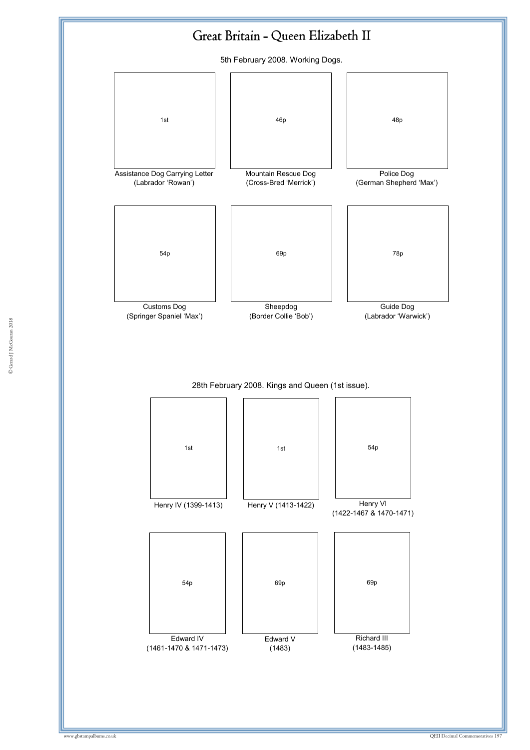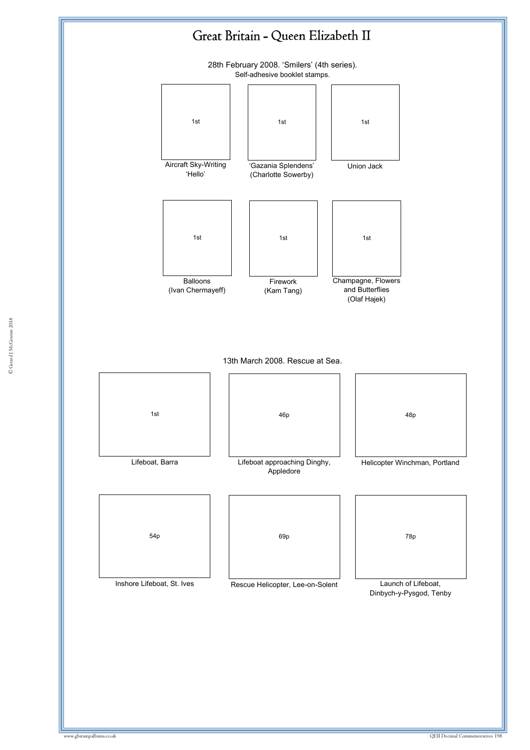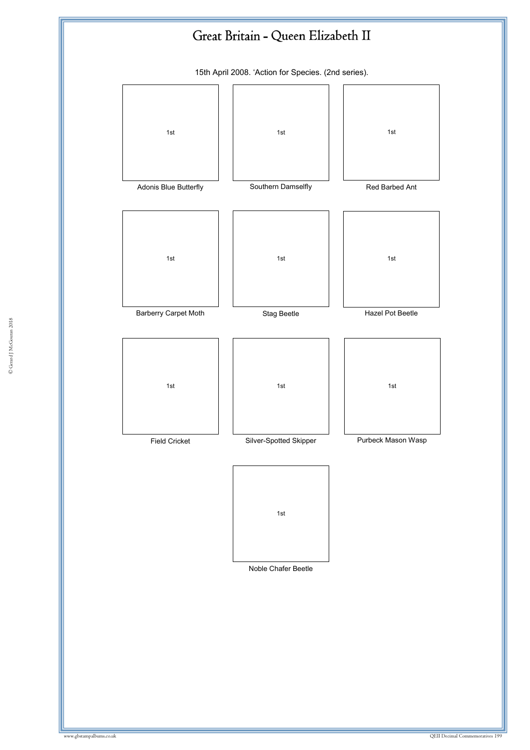

15th April 2008. 'Action for Species. (2nd series).

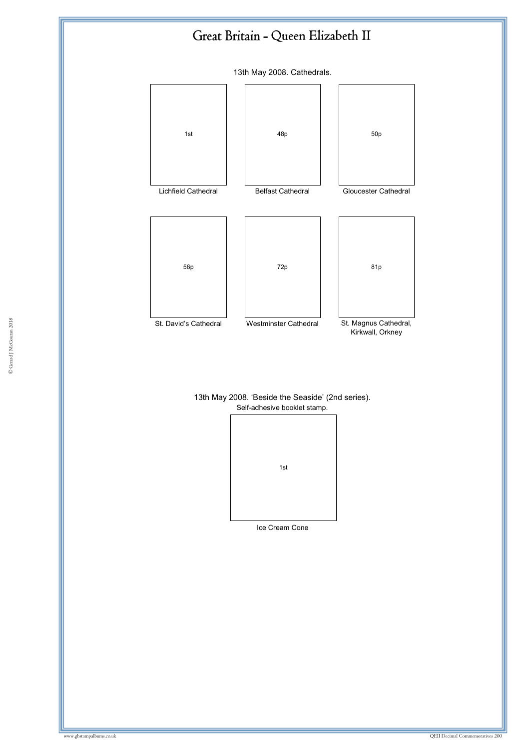

13th May 2008. 'Beside the Seaside' (2nd series). Self-adhesive booklet stamp.



Ice Cream Cone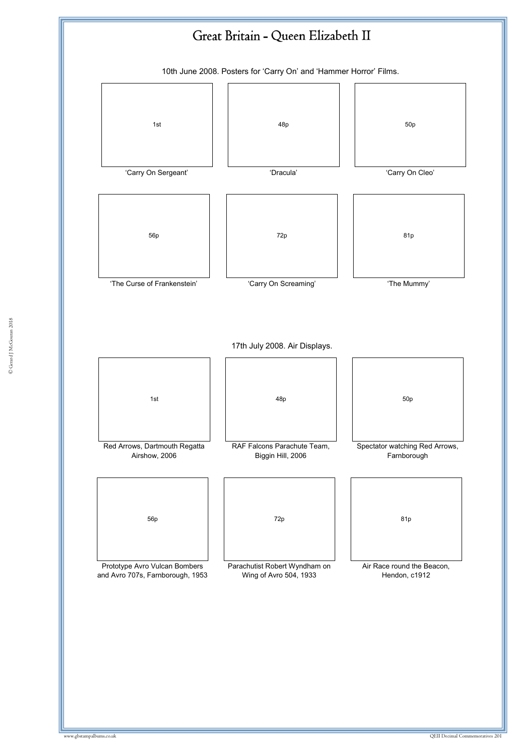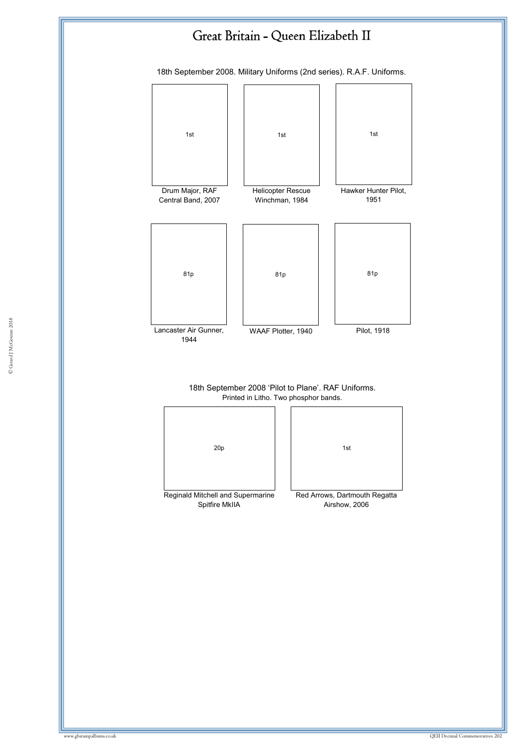18th September 2008. Military Uniforms (2nd series). R.A.F. Uniforms.



18th September 2008 'Pilot to Plane'. RAF Uniforms. Printed in Litho. Two phosphor bands.



Spitfire MkIIA

Red Arrows, Dartmouth Regatta Airshow, 2006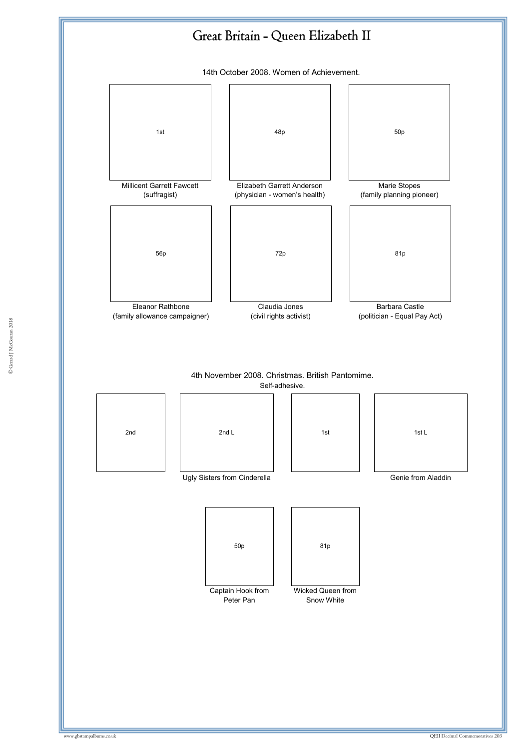